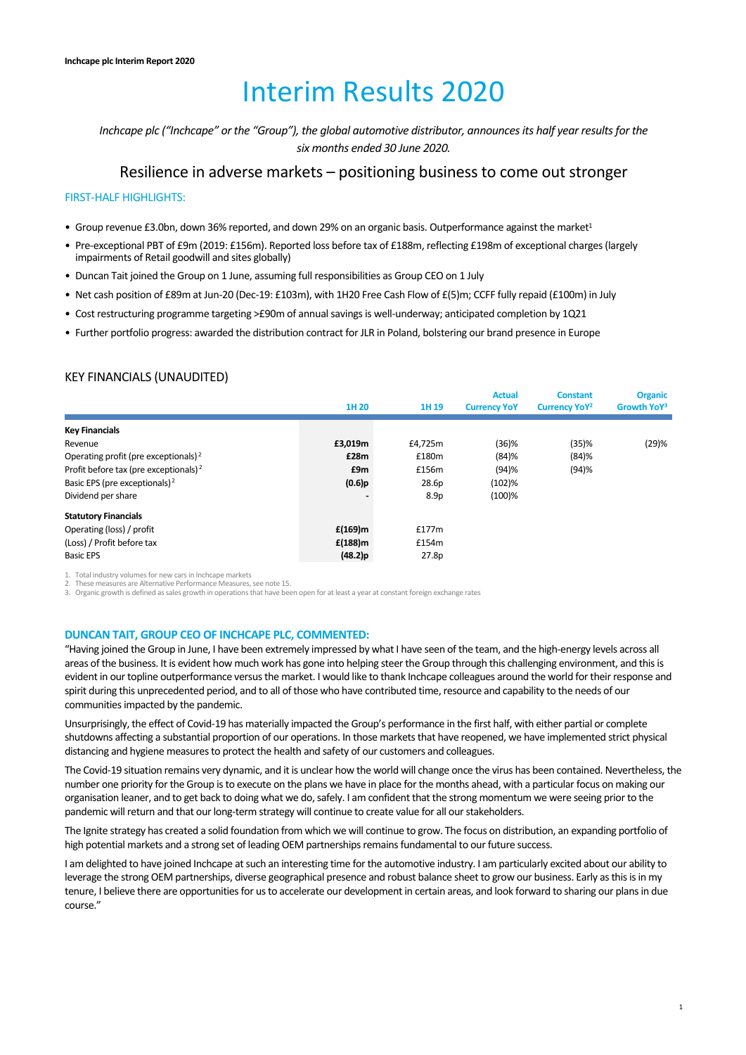# Interim Results 2020

*Inchcape plc ("Inchcape" or the "Group"), the global automotive distributor, announces its half year results for the six months ended 30 June 2020.*

## Resilience in adverse markets – positioning business to come out stronger

## FIRST-HALF HIGHLIGHTS:

- Group revenue £3.0bn, down 36% reported, and down 29% on an organic basis. Outperformance against the market<sup>1</sup>
- Pre-exceptional PBT of £9m (2019: £156m). Reported loss before tax of £188m, reflecting £198m of exceptional charges (largely impairments of Retail goodwill and sites globally)
- Duncan Tait joined the Group on 1 June, assuming full responsibilities as Group CEO on 1 July
- Net cash position of £89m at Jun-20 (Dec-19: £103m), with 1H20 Free Cash Flow of £(5)m; CCFF fully repaid (£100m) in July
- Cost restructuring programme targeting >£90m of annual savings is well-underway; anticipated completion by 1Q21
- Further portfolio progress: awarded the distribution contract for JLR in Poland, bolstering our brand presence in Europe

## KEY FINANCIALS (UNAUDITED)

|                                                   | 1H 20      | 1H 19            | <b>Actual</b><br><b>Currency YoY</b> | <b>Constant</b><br><b>Currency YoY2</b> | <b>Organic</b><br><b>Growth YoY<sup>3</sup></b> |
|---------------------------------------------------|------------|------------------|--------------------------------------|-----------------------------------------|-------------------------------------------------|
| <b>Key Financials</b>                             |            |                  |                                      |                                         |                                                 |
| Revenue                                           | £3,019m    | £4,725m          | (36)%                                | (35)%                                   | (29)%                                           |
| Operating profit (pre exceptionals) <sup>2</sup>  | £28m       | £180m            | (84)%                                | (84)%                                   |                                                 |
| Profit before tax (pre exceptionals) <sup>2</sup> | £9m        | £156m            | (94)%                                | (94)%                                   |                                                 |
| Basic EPS (pre exceptionals) <sup>2</sup>         | $(0.6)$ p  | 28.6p            | (102)%                               |                                         |                                                 |
| Dividend per share                                |            | 8.9 <sub>p</sub> | $(100)$ %                            |                                         |                                                 |
| <b>Statutory Financials</b>                       |            |                  |                                      |                                         |                                                 |
| Operating (loss) / profit                         | $f(169)$ m | £177m            |                                      |                                         |                                                 |
| (Loss) / Profit before tax                        | $f(188)$ m | £154m            |                                      |                                         |                                                 |
| <b>Basic EPS</b>                                  | $(48.2)$ p | 27.8p            |                                      |                                         |                                                 |

1. Total industry volumes for new carsin Inchcape markets

2. These measures are Alternative Performance Measures, see note 15.

3. Organic growth is defined as sales growth in operations that have been open for at least a year at constant foreign exchange rates

## **DUNCAN TAIT, GROUP CEO OF INCHCAPE PLC, COMMENTED:**

"Having joined the Group in June, I have been extremely impressed by what I have seen of the team, and the high-energy levels across all areas of the business. It is evident how much work has gone into helping steer the Group through this challenging environment, and this is evident in our topline outperformance versus the market. I would like to thank Inchcape colleagues around the world for their response and spirit during this unprecedented period, and to all of those who have contributed time, resource and capability to the needs of our communities impacted by the pandemic.

Unsurprisingly, the effect of Covid-19 has materially impacted the Group's performance in the first half, with either partial or complete shutdowns affecting a substantial proportion of our operations. In those markets that have reopened, we have implemented strict physical distancing and hygiene measures to protect the health and safety of our customers and colleagues.

The Covid-19 situation remains very dynamic, and it is unclear how the world will change once the virus has been contained. Nevertheless, the number one priority for the Group is to execute on the plans we have in place for the months ahead, with a particular focus on making our organisation leaner, and to get back to doing what we do, safely. I am confident that the strong momentum we were seeing prior to the pandemic will return and that our long-term strategy will continue to create value for all our stakeholders.

The Ignite strategy has created a solid foundation from which we will continue to grow. The focus on distribution, an expanding portfolio of high potential markets and a strong set of leading OEM partnerships remains fundamental to our future success.

I am delighted to have joined Inchcape at such an interesting time for the automotive industry. I am particularly excited about our ability to leverage the strong OEM partnerships, diverse geographical presence and robust balance sheet to grow our business. Early as this is in my tenure, I believe there are opportunities for us to accelerate our development in certain areas, and look forward to sharing our plans in due course."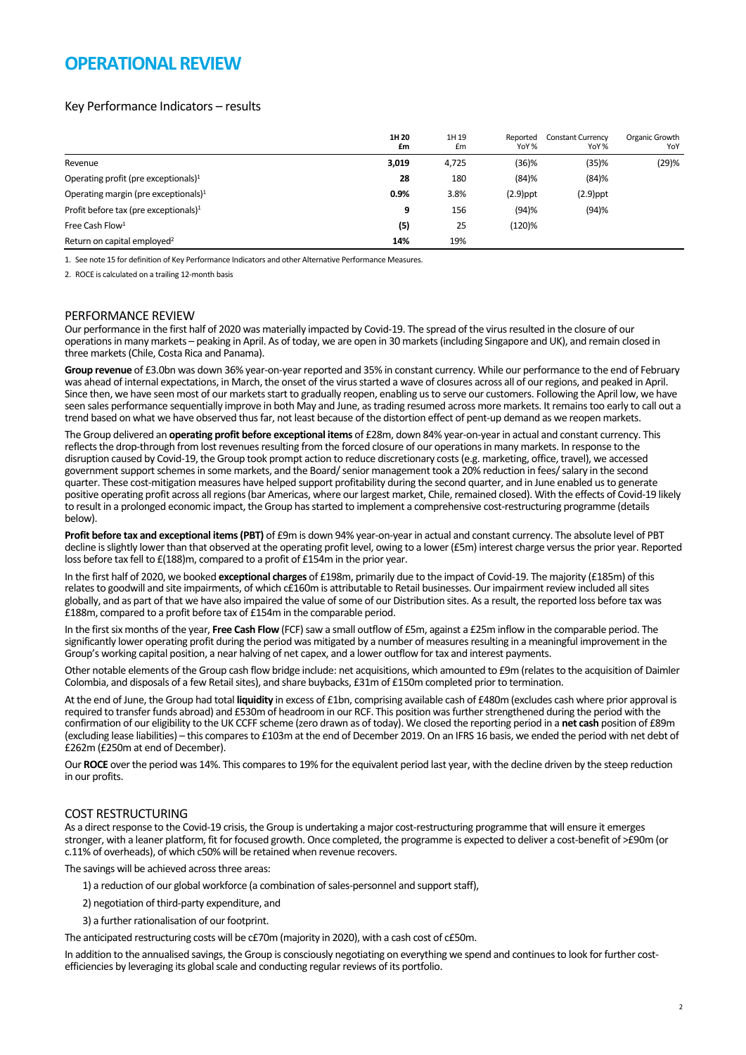## **OPERATIONAL REVIEW**

## Key Performance Indicators – results

|                                                   | 1H <sub>20</sub><br>£m | 1H 19<br>£m | Reported<br>YoY% | <b>Constant Currency</b><br>YoY % | Organic Growth<br>YoY |
|---------------------------------------------------|------------------------|-------------|------------------|-----------------------------------|-----------------------|
| Revenue                                           | 3,019                  | 4,725       | (36)%            | (35)%                             | (29)%                 |
| Operating profit (pre exceptionals) $1$           | 28                     | 180         | (84)%            | (84)%                             |                       |
| Operating margin (pre exceptionals) $1$           | 0.9%                   | 3.8%        | $(2.9)$ ppt      | (2.9)ppt                          |                       |
| Profit before tax (pre exceptionals) <sup>1</sup> | 9                      | 156         | (94)%            | (94)%                             |                       |
| Free Cash Flow <sup>1</sup>                       | (5)                    | 25          | (120)%           |                                   |                       |
| Return on capital employed <sup>2</sup>           | 14%                    | 19%         |                  |                                   |                       |

1. See note 15 for definition of Key Performance Indicators and other Alternative Performance Measures.

2. ROCE is calculated on a trailing 12-month basis

#### PERFORMANCE REVIEW

Our performance in the first half of 2020 was materially impacted by Covid-19. The spread of the virus resulted in the closure of our operations in many markets – peaking in April. As of today, we are open in 30 markets (including Singapore and UK), and remain closed in three markets (Chile, Costa Rica and Panama).

**Group revenue** of £3.0bn was down 36% year-on-year reported and 35% in constant currency. While our performance to the end of February was ahead of internal expectations, in March, the onset of the virus started a wave of closures across all of our regions, and peaked in April. Since then, we have seen most of our markets start to gradually reopen, enabling us to serve our customers. Following the April low, we have seen sales performance sequentially improve in both May and June, as trading resumed across more markets. It remains too early to call out a trend based on what we have observed thus far, not least because of the distortion effect of pent-up demand as we reopen markets.

The Group delivered an **operating profit before exceptional items** of £28m, down 84% year-on-year in actual and constant currency. This reflects the drop-through from lost revenues resulting from the forced closure of our operations in many markets. In response to the disruption caused by Covid-19, the Group took prompt action to reduce discretionary costs (e.g. marketing, office, travel), we accessed government support schemes in some markets, and the Board/ senior management took a 20% reduction in fees/ salary in the second quarter. These cost-mitigation measures have helped support profitability during the second quarter, and in June enabled us to generate positive operating profit across all regions (bar Americas, where our largest market, Chile, remained closed). With the effects of Covid-19 likely to result in a prolonged economic impact, the Group has started to implement a comprehensive cost-restructuring programme (details below).

**Profit before tax and exceptional items(PBT)** of £9m is down 94% year-on-year in actual and constant currency. The absolute level of PBT decline is slightly lower than that observed at the operating profit level, owing to a lower (£5m) interest charge versus the prior year. Reported loss before tax fell to £(188)m, compared to a profit of £154m in the prior year.

In the first half of 2020, we booked **exceptional charges** of £198m, primarily due to the impact of Covid-19. The majority (£185m) of this relates to goodwill and site impairments, of which c£160m is attributable to Retail businesses. Our impairment review included all sites globally, and as part of that we have also impaired the value of some of our Distribution sites. As a result, the reported loss before tax was £188m, compared to a profit before tax of £154m in the comparable period.

In the first six months of the year, **Free Cash Flow** (FCF) saw a small outflow of £5m, against a £25m inflow in the comparable period. The significantly lower operating profit during the period was mitigated by a number of measures resulting in a meaningful improvement in the Group's working capital position, a near halving of net capex, and a lower outflow for tax and interest payments.

Other notable elements of the Group cash flow bridge include: net acquisitions, which amounted to £9m (relates to the acquisition of Daimler Colombia, and disposals of a few Retail sites), and share buybacks, £31m of £150m completed prior to termination.

At the end of June, the Group had total **liquidity** in excess of £1bn, comprising available cash of £480m (excludes cash where prior approval is required to transfer funds abroad) and £530m of headroom in our RCF. This position was further strengthened during the period with the confirmation of our eligibility to the UK CCFF scheme (zero drawn as of today). We closed the reporting period in a **net cash** position of £89m (excluding lease liabilities) – this compares to £103m at the end of December 2019. On an IFRS 16 basis, we ended the period with net debt of £262m (£250m at end of December).

Our **ROCE** over the period was 14%. This compares to 19% for the equivalent period last year, with the decline driven by the steep reduction in our profits.

## COST RESTRUCTURING

As a direct response to the Covid-19 crisis, the Group is undertaking a major cost-restructuring programme that will ensure it emerges stronger, with a leaner platform, fit for focused growth. Once completed, the programme is expected to deliver a cost-benefit of >£90m (or c.11% of overheads), of which c50% will be retained when revenue recovers.

The savings will be achieved across three areas:

- 1) a reduction of our global workforce (a combination of sales-personnel and support staff),
- 2) negotiation of third-party expenditure, and
- 3) a further rationalisation of our footprint.

The anticipated restructuring costs will be c£70m (majority in 2020), with a cash cost of c£50m.

In addition to the annualised savings, the Group is consciously negotiating on everything we spend and continues to look for further costefficiencies by leveraging its global scale and conducting regular reviews of its portfolio.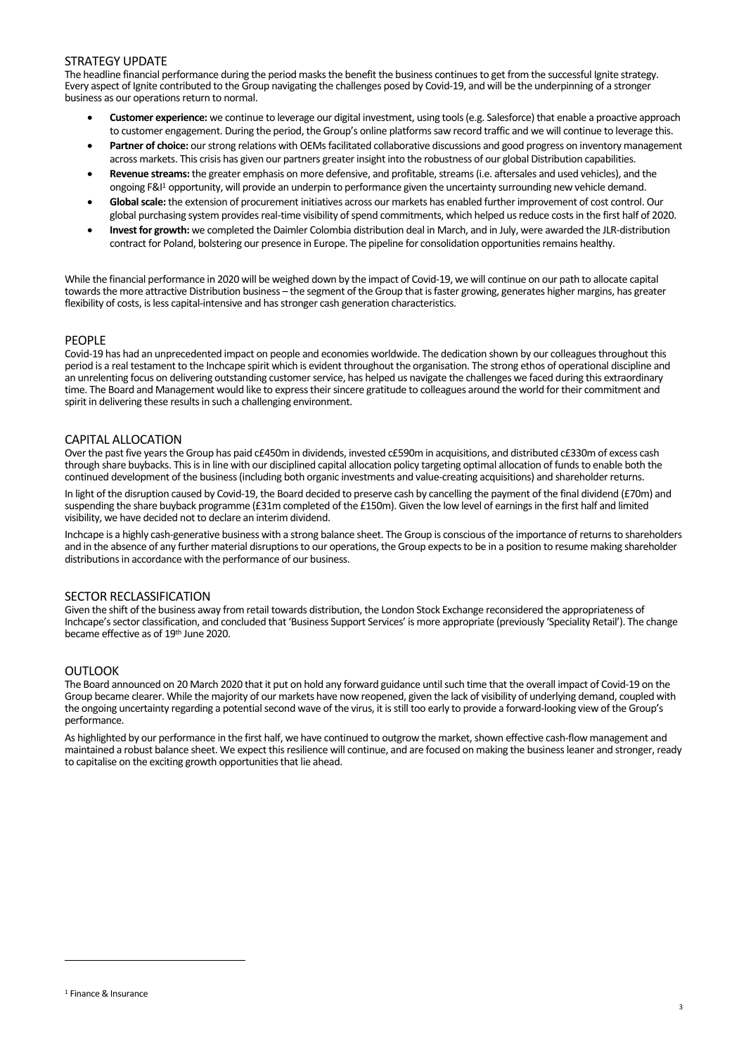## STRATEGY UPDATE

The headline financial performance during the period masks the benefit the business continues to get from the successful Ignite strategy. Every aspect of Ignite contributed to the Group navigating the challenges posed by Covid-19, and will be the underpinning of a stronger business as our operations return to normal.

- **Customer experience:** we continue to leverage our digital investment, using tools (e.g. Salesforce) that enable a proactive approach to customer engagement. During the period, the Group's online platforms saw record traffic and we will continue to leverage this.
- **Partner of choice:** our strong relations with OEMs facilitated collaborative discussions and good progress on inventory management across markets. This crisis has given our partners greater insight into the robustness of our global Distribution capabilities.
- Revenue streams: the greater emphasis on more defensive, and profitable, streams (i.e. aftersales and used vehicles), and the ongoing F&I1 opportunity, will provide an underpin to performance given the uncertainty surrounding new vehicle demand.
- **Global scale:** the extension of procurement initiatives across our markets has enabled further improvement of cost control. Our global purchasing system provides real-time visibility of spend commitments, which helped us reduce costs in the first half of 2020.
- **Invest for growth:** we completed the Daimler Colombia distribution deal in March, and in July, were awarded the JLR-distribution contract for Poland, bolstering our presence in Europe. The pipeline for consolidation opportunities remains healthy.

While the financial performance in 2020 will be weighed down by the impact of Covid-19, we will continue on our path to allocate capital towards the more attractive Distribution business – the segment of the Group that is faster growing, generates higher margins, has greater flexibility of costs, is less capital-intensive and has stronger cash generation characteristics.

## PEOPLE

Covid-19 has had an unprecedented impact on people and economies worldwide. The dedication shown by our colleagues throughout this period is a real testament to the Inchcape spirit which is evident throughout the organisation. The strong ethos of operational discipline and an unrelenting focus on delivering outstanding customer service, has helped us navigate the challenges we faced during this extraordinary time. The Board and Management would like to express their sincere gratitude to colleagues around the world for their commitment and spirit in delivering these results in such a challenging environment.

## CAPITAL ALLOCATION

Over the past five years the Group has paid c£450m in dividends, invested c£590m in acquisitions, and distributed c£330m of excess cash through share buybacks. This is in line with our disciplined capital allocation policy targeting optimal allocation of funds to enable both the continued development of the business (including both organic investments and value-creating acquisitions) and shareholder returns.

In light of the disruption caused by Covid-19, the Board decided to preserve cash by cancelling the payment of the final dividend (£70m) and suspending the share buyback programme (£31m completed of the £150m). Given the low level of earnings in the first half and limited visibility, we have decided not to declare an interim dividend.

Inchcape is a highly cash-generative business with a strong balance sheet. The Group is conscious of the importance of returns to shareholders and in the absence of any further material disruptions to our operations, the Group expects to be in a position to resume making shareholder distributions in accordance with the performance of our business.

## SECTOR RECLASSIFICATION

Given the shift of the business away from retail towards distribution, the London Stock Exchange reconsidered the appropriateness of Inchcape's sector classification, and concluded that 'Business Support Services' is more appropriate (previously 'Speciality Retail'). The change became effective as of 19th June 2020.

## OUTLOOK

The Board announced on 20 March 2020 that it put on hold any forward guidance until such time that the overall impact of Covid-19 on the Group became clearer. While the majority of our markets have now reopened, given the lack of visibility of underlying demand, coupled with the ongoing uncertainty regarding a potential second wave of the virus, it is still too early to provide a forward-looking view of the Group's performance.

As highlighted by our performance in the first half, we have continued to outgrow the market, shown effective cash-flow management and maintained a robust balance sheet. We expect this resilience will continue, and are focused on making the business leaner and stronger, ready to capitalise on the exciting growth opportunities that lie ahead.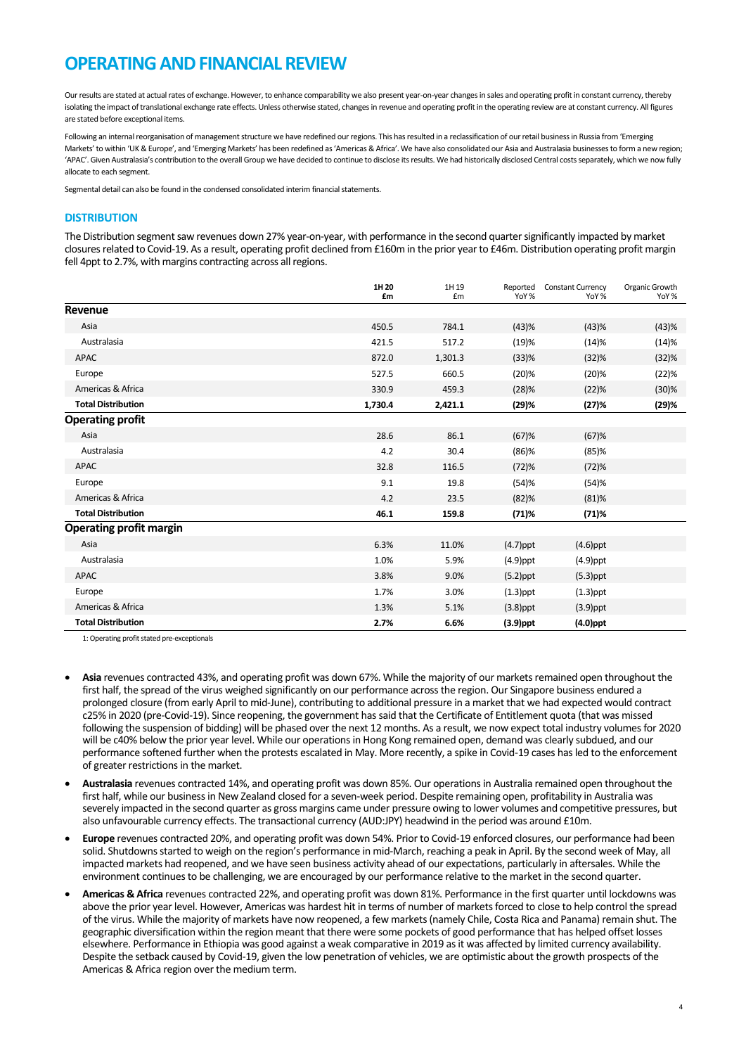## **OPERATING AND FINANCIAL REVIEW**

Our results are stated at actual rates of exchange. However, to enhance comparability we also present year-on-year changes in sales and operating profit in constant currency, thereby isolating the impact of translational exchange rate effects. Unless otherwise stated, changes in revenue and operating profit in the operating review are at constant currency. All figures are stated before exceptional items.

Following an internal reorganisation of management structure we have redefined our regions. This has resulted in a reclassification of our retail business in Russia from 'Emerging Markets' to within 'UK & Europe', and 'Emerging Markets' has been redefined as 'Americas & Africa'. We have also consolidated our Asia and Australasia businesses to form a new region; 'APAC'. Given Australasia's contribution to the overall Group we have decided to continue to disclose its results. We had historically disclosed Central costs separately, which we now fully allocate to each segment.

Segmental detail can also be found in the condensed consolidated interim financial statements.

#### **DISTRIBUTION**

The Distribution segment saw revenues down 27% year-on-year, with performance in the second quartersignificantly impacted by market closures related to Covid-19. As a result, operating profit declined from £160m in the prior year to £46m. Distribution operating profit margin fell 4ppt to 2.7%, with margins contracting across all regions.

|                                | 1H 20<br>£m | 1H 19<br>£m | Reported<br>YoY % | <b>Constant Currency</b><br>YoY% | Organic Growth<br>YoY% |
|--------------------------------|-------------|-------------|-------------------|----------------------------------|------------------------|
| Revenue                        |             |             |                   |                                  |                        |
| Asia                           | 450.5       | 784.1       | (43)%             | (43)%                            | (43)%                  |
| Australasia                    | 421.5       | 517.2       | (19)%             | (14)%                            | (14)%                  |
| <b>APAC</b>                    | 872.0       | 1,301.3     | (33)%             | (32)%                            | (32)%                  |
| Europe                         | 527.5       | 660.5       | (20)%             | (20)%                            | (22)%                  |
| Americas & Africa              | 330.9       | 459.3       | (28)%             | (22)%                            | (30)%                  |
| <b>Total Distribution</b>      | 1,730.4     | 2,421.1     | (29)%             | (27)%                            | (29)%                  |
| <b>Operating profit</b>        |             |             |                   |                                  |                        |
| Asia                           | 28.6        | 86.1        | (67)%             | (67)%                            |                        |
| Australasia                    | 4.2         | 30.4        | $(86)$ %          | $(85)$ %                         |                        |
| <b>APAC</b>                    | 32.8        | 116.5       | (72)%             | (72)%                            |                        |
| Europe                         | 9.1         | 19.8        | (54)%             | (54)%                            |                        |
| Americas & Africa              | 4.2         | 23.5        | (82)%             | (81)%                            |                        |
| <b>Total Distribution</b>      | 46.1        | 159.8       | (71)%             | (71)%                            |                        |
| <b>Operating profit margin</b> |             |             |                   |                                  |                        |
| Asia                           | 6.3%        | 11.0%       | $(4.7)$ ppt       | $(4.6)$ ppt                      |                        |
| Australasia                    | 1.0%        | 5.9%        | $(4.9)$ ppt       | $(4.9)$ ppt                      |                        |
| <b>APAC</b>                    | 3.8%        | 9.0%        | $(5.2)$ ppt       | $(5.3)$ ppt                      |                        |
| Europe                         | 1.7%        | 3.0%        | $(1.3)$ ppt       | $(1.3)$ ppt                      |                        |
| Americas & Africa              | 1.3%        | 5.1%        | $(3.8)$ ppt       | $(3.9)$ ppt                      |                        |
| <b>Total Distribution</b>      | 2.7%        | 6.6%        | $(3.9)$ ppt       | (4.0)ppt                         |                        |

1: Operating profit stated pre-exceptionals

- **Asia** revenues contracted 43%, and operating profit was down 67%. While the majority of our markets remained open throughout the first half, the spread of the virus weighed significantly on our performance across the region. Our Singapore business endured a prolonged closure (from early April to mid-June), contributing to additional pressure in a market that we had expected would contract c25% in 2020 (pre-Covid-19). Since reopening, the government has said that the Certificate of Entitlement quota (that was missed following the suspension of bidding) will be phased over the next 12 months. As a result, we now expect total industry volumes for 2020 will be c40% below the prior year level. While our operations in Hong Kong remained open, demand was clearly subdued, and our performance softened further when the protests escalated in May. More recently, a spike in Covid-19 cases has led to the enforcement of greater restrictions in the market.
- **Australasia** revenues contracted 14%, and operating profit was down 85%. Our operations in Australia remained open throughout the first half, while our business in New Zealand closed for a seven-week period. Despite remaining open, profitability in Australia was severely impacted in the second quarter as gross margins came under pressure owing to lower volumes and competitive pressures, but also unfavourable currency effects. The transactional currency (AUD:JPY) headwind in the period was around £10m.
- **Europe** revenues contracted 20%, and operating profit was down 54%. Prior to Covid-19 enforced closures, our performance had been solid. Shutdowns started to weigh on the region's performance in mid-March, reaching a peak in April. By the second week of May, all impacted markets had reopened, and we have seen business activity ahead of our expectations, particularly in aftersales. While the environment continues to be challenging, we are encouraged by our performance relative to the market in the second quarter.
- **Americas & Africa** revenues contracted 22%, and operating profit was down 81%. Performance in the first quarter until lockdowns was above the prior year level. However, Americas was hardest hit in terms of number of markets forced to close to help control the spread of the virus. While the majority of markets have now reopened, a few markets (namely Chile, Costa Rica and Panama) remain shut. The geographic diversification within the region meant that there were some pockets of good performance that has helped offset losses elsewhere. Performance in Ethiopia was good against a weak comparative in 2019 as it was affected by limited currency availability. Despite the setback caused by Covid-19, given the low penetration of vehicles, we are optimistic about the growth prospects of the Americas & Africa region over the medium term.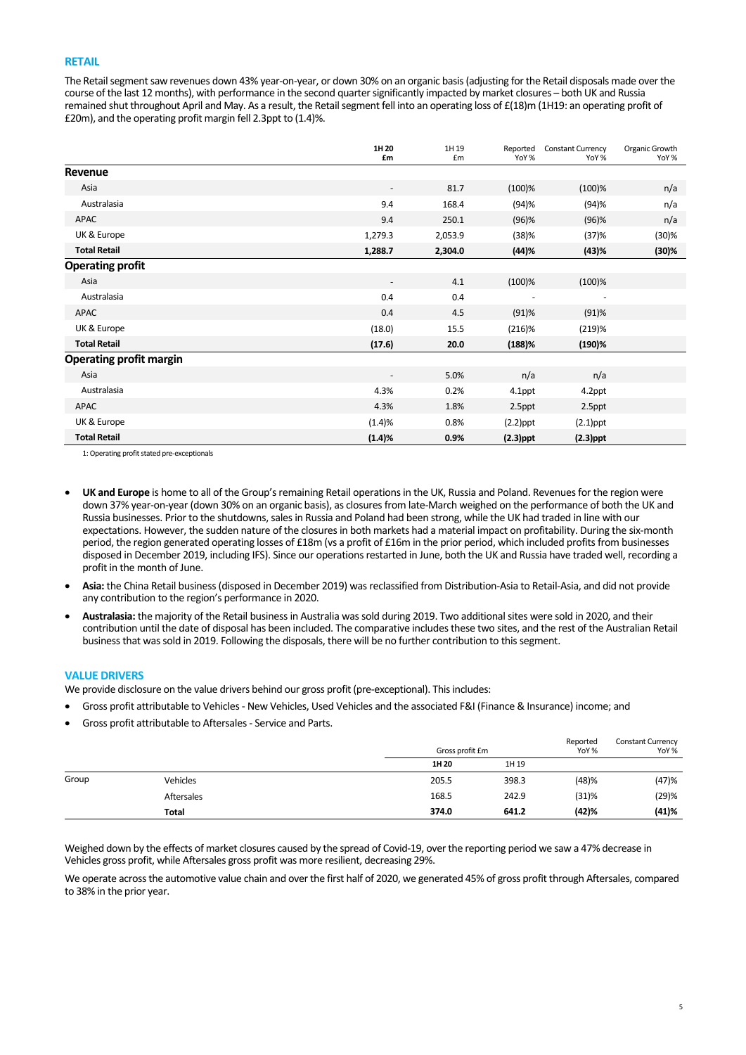## **RETAIL**

The Retail segment saw revenues down 43% year-on-year, or down 30% on an organic basis (adjusting for the Retail disposals made over the course of the last 12 months), with performance in the second quarter significantly impacted by market closures – both UK and Russia remained shut throughout April and May. As a result, the Retail segment fell into an operating loss of £(18)m (1H19: an operating profit of £20m), and the operating profit margin fell 2.3ppt to (1.4)%.

|                                | 1H <sub>20</sub><br>£m   | 1H 19<br>£m | Reported<br>YoY %        | <b>Constant Currency</b><br>YoY% | Organic Growth<br>YoY % |
|--------------------------------|--------------------------|-------------|--------------------------|----------------------------------|-------------------------|
| Revenue                        |                          |             |                          |                                  |                         |
| Asia                           | $\overline{\phantom{a}}$ | 81.7        | $(100)$ %                | $(100)$ %                        | n/a                     |
| Australasia                    | 9.4                      | 168.4       | (94)%                    | (94)%                            | n/a                     |
| APAC                           | 9.4                      | 250.1       | $(96)$ %                 | $(96)$ %                         | n/a                     |
| UK & Europe                    | 1,279.3                  | 2,053.9     | (38)%                    | (37)%                            | (30)%                   |
| <b>Total Retail</b>            | 1,288.7                  | 2,304.0     | (44)%                    | (43)%                            | (30)%                   |
| <b>Operating profit</b>        |                          |             |                          |                                  |                         |
| Asia                           |                          | 4.1         | $(100)\%$                | $(100)$ %                        |                         |
| Australasia                    | 0.4                      | 0.4         | $\overline{\phantom{a}}$ | $\overline{\phantom{a}}$         |                         |
| APAC                           | 0.4                      | 4.5         | (91)%                    | (91)%                            |                         |
| UK & Europe                    | (18.0)                   | 15.5        | (216)%                   | (219)%                           |                         |
| <b>Total Retail</b>            | (17.6)                   | 20.0        | $(188)\%$                | $(190)$ %                        |                         |
| <b>Operating profit margin</b> |                          |             |                          |                                  |                         |
| Asia                           | $\blacksquare$           | 5.0%        | n/a                      | n/a                              |                         |
| Australasia                    | 4.3%                     | 0.2%        | 4.1ppt                   | 4.2ppt                           |                         |
| APAC                           | 4.3%                     | 1.8%        | 2.5ppt                   | 2.5ppt                           |                         |
| UK & Europe                    | (1.4)%                   | 0.8%        | $(2.2)$ ppt              | $(2.1)$ ppt                      |                         |
| <b>Total Retail</b>            | (1.4)%                   | 0.9%        | $(2.3)$ ppt              | $(2.3)$ ppt                      |                         |

1: Operating profit stated pre-exceptionals

- **UK and Europe** is home to all of the Group's remaining Retail operations in the UK, Russia and Poland. Revenues for the region were down 37% year-on-year (down 30% on an organic basis), as closures from late-March weighed on the performance of both the UK and Russia businesses. Prior to the shutdowns, sales in Russia and Poland had been strong, while the UK had traded in line with our expectations. However, the sudden nature of the closures in both markets had a material impact on profitability. During the six-month period, the region generated operating losses of £18m (vs a profit of £16m in the prior period, which included profits from businesses disposed in December 2019, including IFS). Since our operations restarted in June, both the UK and Russia have traded well, recording a profit in the month of June.
- **Asia:** the China Retail business(disposed in December 2019) was reclassified from Distribution-Asia to Retail-Asia, and did not provide any contribution to the region's performance in 2020.
- **Australasia:** the majority of the Retail business in Australia was sold during 2019. Two additional sites were sold in 2020, and their contribution until the date of disposal has been included. The comparative includes these two sites, and the rest of the Australian Retail business that was sold in 2019. Following the disposals, there will be no further contribution to this segment.

#### **VALUE DRIVERS**

We provide disclosure on the value drivers behind our gross profit (pre-exceptional). This includes:

- Gross profit attributable to Vehicles New Vehicles, Used Vehicles and the associated F&I (Finance & Insurance) income; and
- Gross profit attributable to Aftersales- Service and Parts.

|       |              |       | Gross profit £m |       | <b>Constant Currency</b><br>YoY % |
|-------|--------------|-------|-----------------|-------|-----------------------------------|
|       |              | 1H 20 | 1H 19           |       |                                   |
| Group | Vehicles     | 205.5 | 398.3           | (48)% | (47)%                             |
|       | Aftersales   | 168.5 | 242.9           | (31)% | (29)%                             |
|       | <b>Total</b> | 374.0 | 641.2           | (42)% | (41)%                             |

Weighed down by the effects of market closures caused by the spread of Covid-19, over the reporting period we saw a 47% decrease in Vehicles gross profit, while Aftersales gross profit was more resilient, decreasing 29%.

We operate across the automotive value chain and over the first half of 2020, we generated 45% of gross profit through Aftersales, compared to 38% in the prior year.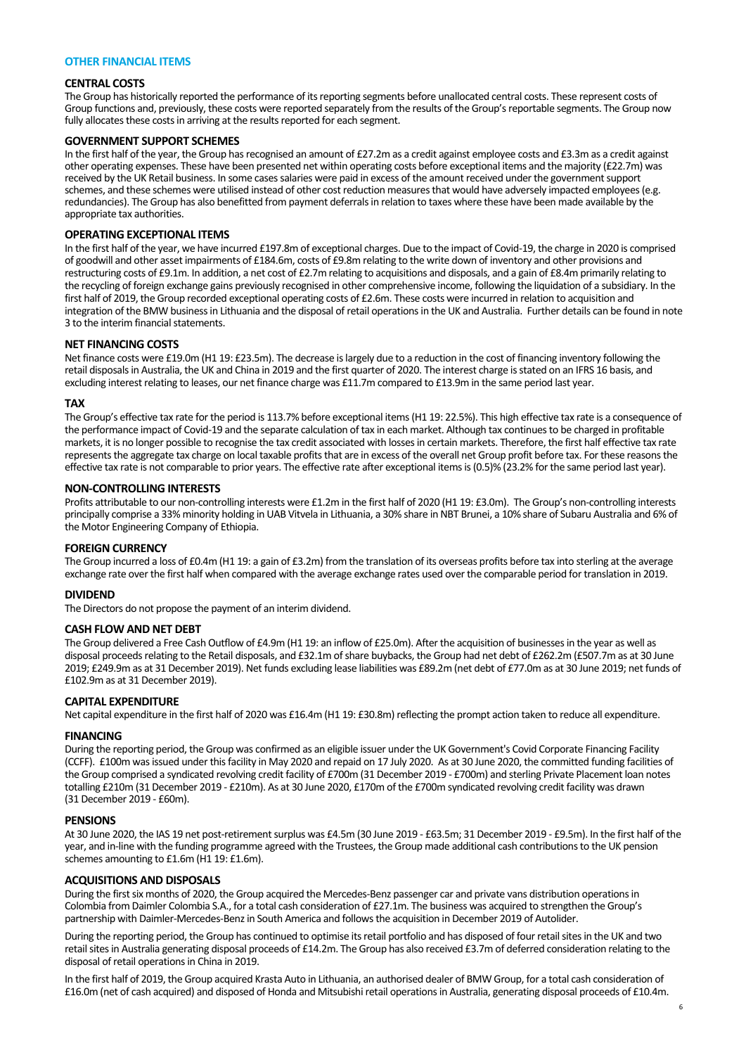#### **CENTRAL COSTS**

The Group has historically reported the performance of its reporting segments before unallocated central costs. These represent costs of Group functions and, previously, these costs were reported separately from the results of the Group's reportable segments. The Group now fully allocates these costs in arriving at the results reported for each segment.

#### **GOVERNMENT SUPPORT SCHEMES**

In the first half of the year, the Group has recognised an amount of £27.2m as a credit against employee costs and £3.3m as a credit against other operating expenses. These have been presented net within operating costs before exceptional items and the majority (£22.7m) was received by the UK Retail business. In some cases salaries were paid in excess of the amount received under the government support schemes, and these schemes were utilised instead of other cost reduction measures that would have adversely impacted employees (e.g. redundancies). The Group has also benefitted from payment deferrals in relation to taxes where these have been made available by the appropriate tax authorities.

#### **OPERATING EXCEPTIONAL ITEMS**

In the first half of the year, we have incurred £197.8m of exceptional charges. Due to the impact of Covid-19, the charge in 2020 is comprised of goodwill and other asset impairments of £184.6m, costs of £9.8m relating to the write down of inventory and other provisions and restructuring costs of £9.1m. In addition, a net cost of £2.7m relating to acquisitions and disposals, and a gain of £8.4m primarily relating to the recycling of foreign exchange gains previously recognised in other comprehensive income, following the liquidation of a subsidiary. In the first half of 2019, the Group recorded exceptional operating costs of £2.6m. These costs were incurred in relation to acquisition and integration of the BMW business in Lithuania and the disposal of retail operations in the UK and Australia. Further details can be found in note 3 to the interim financial statements.

#### **NET FINANCING COSTS**

Net finance costs were £19.0m (H1 19: £23.5m). The decrease is largely due to a reduction in the cost of financing inventory following the retail disposals in Australia, the UK and China in 2019 and the first quarter of 2020. The interest charge is stated on an IFRS 16 basis, and excluding interest relating to leases, our net finance charge was £11.7m compared to £13.9m in the same period last year.

#### **TAX**

The Group's effective tax rate for the period is 113.7% before exceptional items (H1 19: 22.5%). This high effective tax rate is a consequence of the performance impact of Covid-19 and the separate calculation of tax in each market. Although tax continues to be charged in profitable markets, it is no longer possible to recognise the tax credit associated with losses in certain markets. Therefore, the first half effective tax rate represents the aggregate tax charge on local taxable profits that are in excess of the overall net Group profit before tax. For these reasons the effective tax rate is not comparable to prior years. The effective rate after exceptional items is (0.5)% (23.2% for the same period last year).

## **NON-CONTROLLING INTERESTS**

Profits attributable to our non-controlling interests were £1.2m in the first half of 2020 (H1 19: £3.0m). The Group's non-controlling interests principally comprise a 33% minority holding in UAB Vitvela in Lithuania, a 30% share in NBT Brunei, a 10% share of Subaru Australia and 6% of the Motor Engineering Company of Ethiopia.

#### **FOREIGN CURRENCY**

The Group incurred a loss of £0.4m (H1 19: a gain of £3.2m) from the translation of its overseas profits before tax into sterling at the average exchange rate over the first half when compared with the average exchange rates used over the comparable period for translation in 2019.

#### **DIVIDEND**

The Directors do not propose the payment of an interim dividend.

#### **CASH FLOW AND NET DEBT**

The Group delivered a Free Cash Outflow of £4.9m (H1 19: an inflow of £25.0m). After the acquisition of businesses in the year as well as disposal proceeds relating to the Retail disposals, and £32.1m of share buybacks, the Group had net debt of £262.2m (£507.7m as at 30 June 2019; £249.9m as at 31 December 2019). Net funds excluding lease liabilities was £89.2m (net debt of £77.0m as at 30 June 2019; net funds of £102.9m as at 31 December 2019).

#### **CAPITAL EXPENDITURE**

Net capital expenditure in the first half of 2020 was £16.4m (H1 19: £30.8m) reflecting the prompt action taken to reduce all expenditure.

#### **FINANCING**

During the reporting period, the Group was confirmed as an eligible issuer under the UK Government's Covid Corporate Financing Facility (CCFF). £100m was issued under this facility in May 2020 and repaid on 17 July 2020. As at 30 June 2020, the committed funding facilities of the Group comprised a syndicated revolving credit facility of £700m (31 December 2019 - £700m) and sterling Private Placement loan notes totalling £210m (31 December 2019 - £210m). As at 30 June 2020, £170m of the £700m syndicated revolving credit facility was drawn (31 December 2019 - £60m).

## **PENSIONS**

At 30 June 2020, the IAS 19 net post-retirement surplus was £4.5m (30 June 2019 - £63.5m; 31 December 2019 - £9.5m). In the first half of the year, and in-line with the funding programme agreed with the Trustees, the Group made additional cash contributions to the UK pension schemes amounting to £1.6m (H1 19: £1.6m).

#### **ACQUISITIONS AND DISPOSALS**

During the first six months of 2020, the Group acquired the Mercedes-Benz passenger car and private vans distribution operations in Colombia from Daimler Colombia S.A., for a total cash consideration of £27.1m. The business was acquired to strengthen the Group's partnership with Daimler-Mercedes-Benz in South America and follows the acquisition in December 2019 of Autolider.

During the reporting period, the Group has continued to optimise its retail portfolio and has disposed of four retail sitesin the UK and two retail sites in Australia generating disposal proceeds of £14.2m. The Group has also received £3.7m of deferred consideration relating to the disposal of retail operations in China in 2019.

In the first half of 2019, the Group acquired Krasta Auto in Lithuania, an authorised dealer of BMW Group, for a total cash consideration of £16.0m (net of cash acquired) and disposed of Honda and Mitsubishi retail operations in Australia, generating disposal proceeds of £10.4m.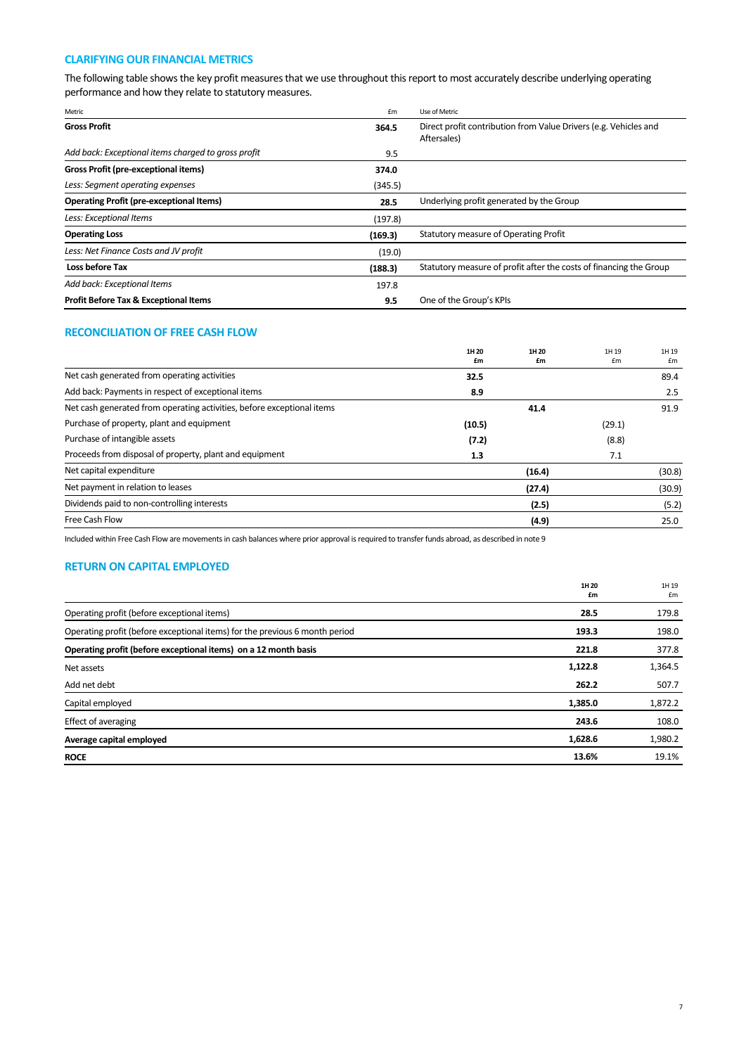## **CLARIFYING OUR FINANCIAL METRICS**

The following table shows the key profit measures that we use throughout this report to most accurately describe underlying operating performance and how they relate to statutory measures.

| Metric                                              | £m      | Use of Metric                                                                   |
|-----------------------------------------------------|---------|---------------------------------------------------------------------------------|
| <b>Gross Profit</b>                                 | 364.5   | Direct profit contribution from Value Drivers (e.g. Vehicles and<br>Aftersales) |
| Add back: Exceptional items charged to gross profit | 9.5     |                                                                                 |
| Gross Profit (pre-exceptional items)                | 374.0   |                                                                                 |
| Less: Segment operating expenses                    | (345.5) |                                                                                 |
| <b>Operating Profit (pre-exceptional Items)</b>     | 28.5    | Underlying profit generated by the Group                                        |
| Less: Exceptional Items                             | (197.8) |                                                                                 |
| <b>Operating Loss</b>                               | (169.3) | Statutory measure of Operating Profit                                           |
| Less: Net Finance Costs and JV profit               | (19.0)  |                                                                                 |
| <b>Loss before Tax</b>                              | (188.3) | Statutory measure of profit after the costs of financing the Group              |
| Add back: Exceptional Items                         | 197.8   |                                                                                 |
| <b>Profit Before Tax &amp; Exceptional Items</b>    | 9.5     | One of the Group's KPIs                                                         |

## **RECONCILIATION OF FREE CASH FLOW**

|                                                                        | 1H 20<br>£m | 1H 20<br>£m | 1H 19<br>£m | 1H 19<br>£m |
|------------------------------------------------------------------------|-------------|-------------|-------------|-------------|
| Net cash generated from operating activities                           | 32.5        |             |             | 89.4        |
| Add back: Payments in respect of exceptional items                     | 8.9         |             |             | 2.5         |
| Net cash generated from operating activities, before exceptional items |             | 41.4        |             | 91.9        |
| Purchase of property, plant and equipment                              | (10.5)      |             | (29.1)      |             |
| Purchase of intangible assets                                          | (7.2)       |             | (8.8)       |             |
| Proceeds from disposal of property, plant and equipment                | 1.3         |             | 7.1         |             |
| Net capital expenditure                                                |             | (16.4)      |             | (30.8)      |
| Net payment in relation to leases                                      |             | (27.4)      |             | (30.9)      |
| Dividends paid to non-controlling interests                            |             | (2.5)       |             | (5.2)       |
| Free Cash Flow                                                         |             | (4.9)       |             | 25.0        |

Included within Free Cash Flow are movements in cash balances where prior approval is required to transfer funds abroad, as described in note 9

## **RETURN ON CAPITAL EMPLOYED**

|                                                                             | 1H 20<br>£m | 1H 19<br>£m |
|-----------------------------------------------------------------------------|-------------|-------------|
| Operating profit (before exceptional items)                                 | 28.5        | 179.8       |
| Operating profit (before exceptional items) for the previous 6 month period | 193.3       | 198.0       |
| Operating profit (before exceptional items) on a 12 month basis             | 221.8       | 377.8       |
| Net assets                                                                  | 1,122.8     | 1,364.5     |
| Add net debt                                                                | 262.2       | 507.7       |
| Capital employed                                                            | 1,385.0     | 1,872.2     |
| Effect of averaging                                                         | 243.6       | 108.0       |
| Average capital employed                                                    | 1,628.6     | 1,980.2     |
| <b>ROCE</b>                                                                 | 13.6%       | 19.1%       |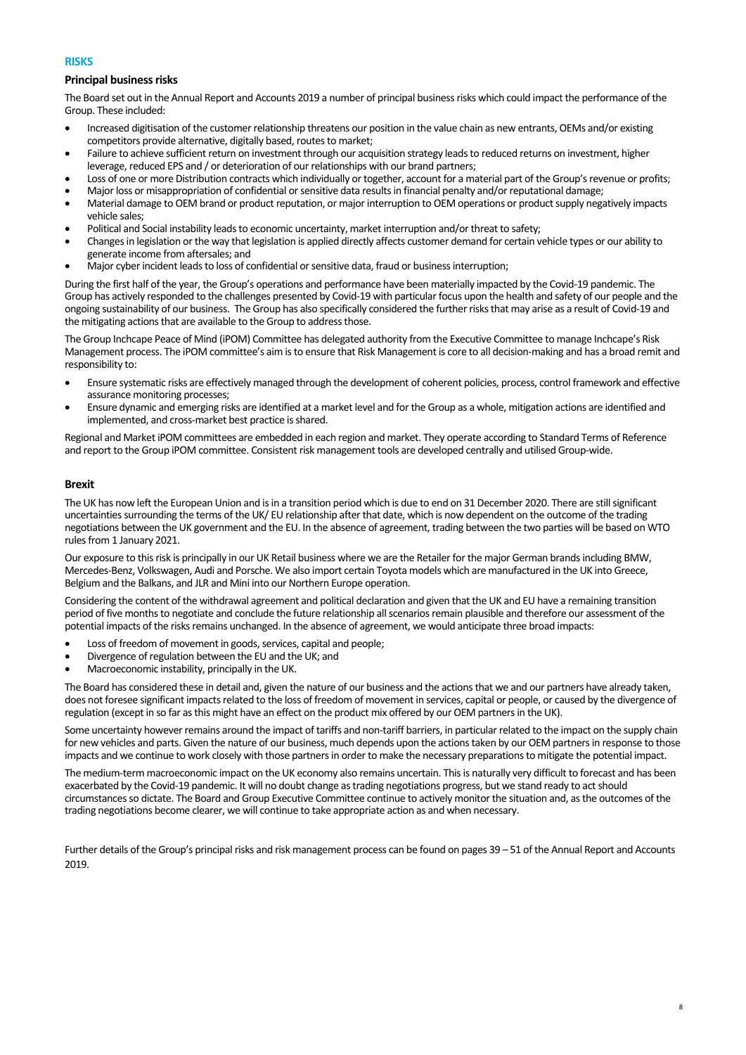## **RISKS**

## **Principal business risks**

The Board set out in the Annual Report and Accounts 2019 a number of principal business risks which could impact the performance of the Group. These included:

- Increased digitisation of the customer relationship threatens our position in the value chain as new entrants, OEMs and/or existing competitors provide alternative, digitally based, routes to market;
- Failure to achieve sufficient return on investment through our acquisition strategy leads to reduced returns on investment, higher leverage, reduced EPS and / or deterioration of our relationships with our brand partners;
- Loss of one or more Distribution contracts which individually or together, account for a material part of the Group's revenue or profits;
- Major loss or misappropriation of confidential or sensitive data results in financial penalty and/or reputational damage;
- Material damage to OEM brand or product reputation, or major interruption to OEM operations or product supply negatively impacts vehicle sales;
- Political and Social instability leads to economic uncertainty, market interruption and/or threat to safety;
- Changes in legislation or the way that legislation is applied directly affects customer demand for certain vehicle types or our ability to generate income from aftersales; and
- Major cyber incident leads to loss of confidential or sensitive data, fraud or business interruption;

During the first half of the year, the Group's operations and performance have been materially impacted by the Covid-19 pandemic. The Group has actively responded to the challenges presented by Covid-19 with particular focus upon the health and safety of our people and the ongoing sustainability of our business. The Group has also specifically considered the further risks that may arise as a result of Covid-19 and the mitigating actions that are available to the Group to address those.

The Group Inchcape Peace of Mind (iPOM) Committee has delegated authority from the Executive Committee to manage Inchcape's Risk Management process. The iPOM committee's aim is to ensure that Risk Management is core to all decision-making and has a broad remit and responsibility to:

- Ensure systematic risks are effectively managed through the development of coherent policies, process, control framework and effective assurance monitoring processes;
- Ensure dynamic and emerging risks are identified at a market level and for the Group as a whole, mitigation actions are identified and implemented, and cross-market best practice is shared.

Regional and Market iPOM committees are embedded in each region and market. They operate according to Standard Terms of Reference and report to the Group iPOM committee. Consistent risk management tools are developed centrally and utilised Group-wide.

## **Brexit**

The UK has now left the European Union and is in a transition period which is due to end on 31 December 2020. There are still significant uncertainties surrounding the terms of the UK/ EU relationship after that date, which is now dependent on the outcome of the trading negotiations between the UK government and the EU. In the absence of agreement, trading between the two parties will be based on WTO rules from 1 January 2021.

Our exposure to this risk is principally in our UK Retail business where we are the Retailer for the major German brands including BMW, Mercedes-Benz, Volkswagen, Audi and Porsche. We also import certain Toyota models which are manufactured in the UK into Greece, Belgium and the Balkans, and JLR and Mini into our Northern Europe operation.

Considering the content of the withdrawal agreement and political declaration and given that the UK and EU have a remaining transition period of five months to negotiate and conclude the future relationship all scenarios remain plausible and therefore our assessment of the potential impacts of the risks remains unchanged. In the absence of agreement, we would anticipate three broad impacts:

- Loss of freedom of movement in goods, services, capital and people;
- Divergence of regulation between the EU and the UK; and
- Macroeconomic instability, principally in the UK.

The Board has considered these in detail and, given the nature of our business and the actions that we and our partners have already taken, does not foresee significant impacts related to the loss of freedom of movement in services, capital or people, or caused by the divergence of regulation (except in so far as this might have an effect on the product mix offered by our OEM partners in the UK).

Some uncertainty however remains around the impact of tariffs and non-tariff barriers, in particular related to the impact on the supply chain for new vehicles and parts. Given the nature of our business, much depends upon the actions taken by our OEM partners in response to those impacts and we continue to work closely with those partners in order to make the necessary preparations to mitigate the potential impact.

The medium-term macroeconomic impact on the UK economy also remains uncertain. This is naturally very difficult to forecast and has been exacerbated by the Covid-19 pandemic. It will no doubt change as trading negotiations progress, but we stand ready to act should circumstances so dictate. The Board and Group Executive Committee continue to actively monitor the situation and, as the outcomes of the trading negotiations become clearer, we will continue to take appropriate action as and when necessary.

Further details of the Group's principal risks and risk management process can be found on pages 39 – 51 of the Annual Report and Accounts 2019.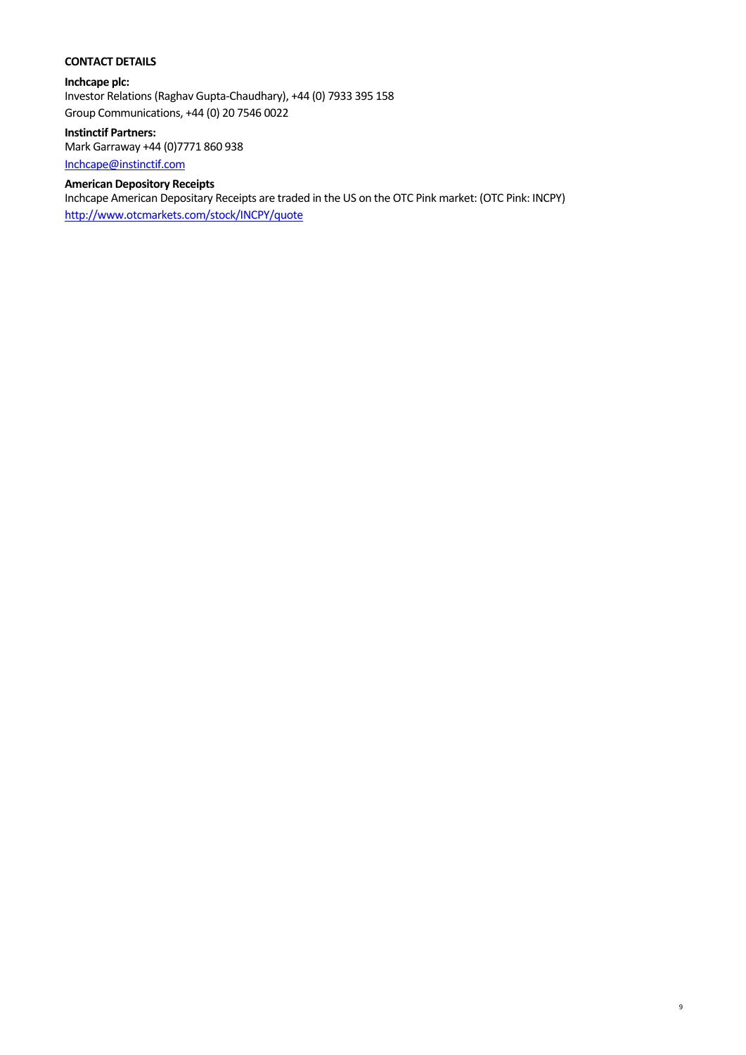## **CONTACT DETAILS**

## **Inchcape plc:**

Investor Relations(Raghav Gupta-Chaudhary), +44 (0) 7933 395 158 Group Communications, +44 (0) 20 7546 0022

**Instinctif Partners:**  Mark Garraway +44 (0)7771 860 938 Inchcape@instinctif.com

## **American Depository Receipts**

Inchcape American Depositary Receipts are traded in the US on the OTC Pink market: (OTC Pink: INCPY) http://www.otcmarkets.com/stock/INCPY/quote

9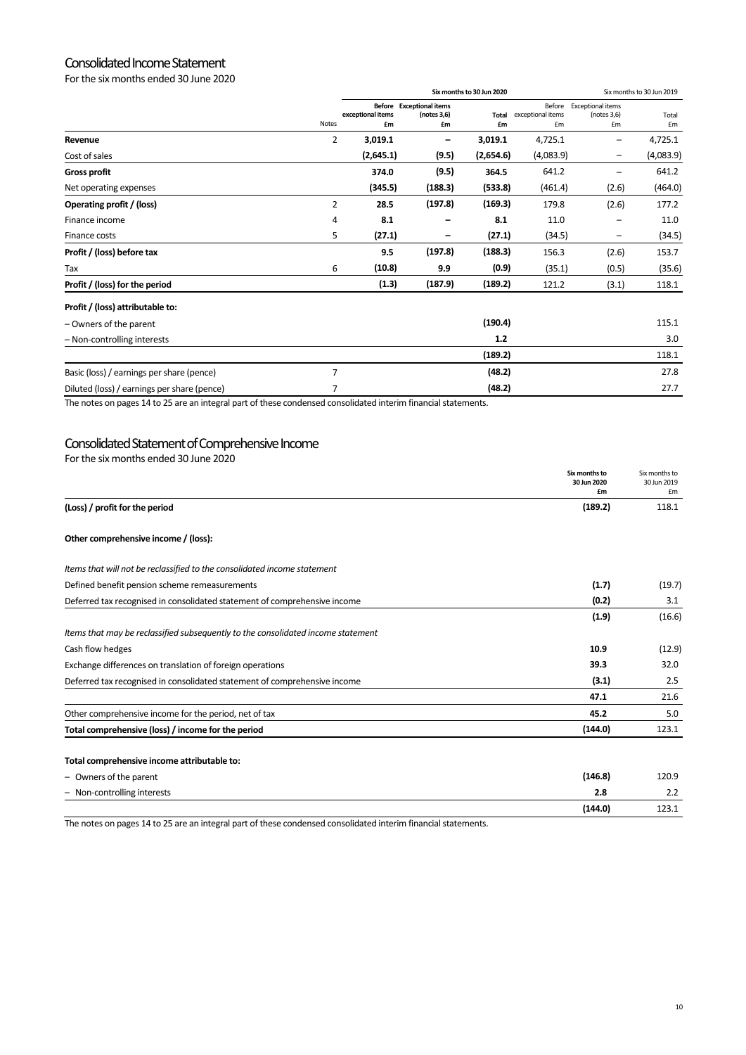## Consolidated Income Statement

For the six months ended 30 June 2020

|                                             |                |                         |                                               | Six months to 30 Jun 2020 | Six months to 30 Jun 2019         |                                               |             |
|---------------------------------------------|----------------|-------------------------|-----------------------------------------------|---------------------------|-----------------------------------|-----------------------------------------------|-------------|
|                                             | Notes          | exceptional items<br>£m | Before Exceptional items<br>(notes 3.6)<br>£m | Total<br>£m               | Before<br>exceptional items<br>£m | <b>Exceptional items</b><br>(notes 3.6)<br>£m | Total<br>£m |
| Revenue                                     | $\overline{2}$ | 3,019.1                 | -                                             | 3,019.1                   | 4,725.1                           | —                                             | 4,725.1     |
| Cost of sales                               |                | (2,645.1)               | (9.5)                                         | (2,654.6)                 | (4,083.9)                         |                                               | (4,083.9)   |
| <b>Gross profit</b>                         |                | 374.0                   | (9.5)                                         | 364.5                     | 641.2                             |                                               | 641.2       |
| Net operating expenses                      |                | (345.5)                 | (188.3)                                       | (533.8)                   | (461.4)                           | (2.6)                                         | (464.0)     |
| Operating profit / (loss)                   | $\overline{2}$ | 28.5                    | (197.8)                                       | (169.3)                   | 179.8                             | (2.6)                                         | 177.2       |
| Finance income                              | 4              | 8.1                     |                                               | 8.1                       | 11.0                              |                                               | 11.0        |
| Finance costs                               | 5              | (27.1)                  | -                                             | (27.1)                    | (34.5)                            | -                                             | (34.5)      |
| Profit / (loss) before tax                  |                | 9.5                     | (197.8)                                       | (188.3)                   | 156.3                             | (2.6)                                         | 153.7       |
| Tax                                         | 6              | (10.8)                  | 9.9                                           | (0.9)                     | (35.1)                            | (0.5)                                         | (35.6)      |
| Profit / (loss) for the period              |                | (1.3)                   | (187.9)                                       | (189.2)                   | 121.2                             | (3.1)                                         | 118.1       |
| Profit / (loss) attributable to:            |                |                         |                                               |                           |                                   |                                               |             |
| - Owners of the parent                      |                |                         |                                               | (190.4)                   |                                   |                                               | 115.1       |
| - Non-controlling interests                 |                |                         |                                               | 1.2                       |                                   |                                               | 3.0         |
|                                             |                |                         |                                               | (189.2)                   |                                   |                                               | 118.1       |
| Basic (loss) / earnings per share (pence)   | 7              |                         |                                               | (48.2)                    |                                   |                                               | 27.8        |
| Diluted (loss) / earnings per share (pence) | 7              |                         |                                               | (48.2)                    |                                   |                                               | 27.7        |

The notes on pages 14 to 25 are an integral part of these condensed consolidated interim financial statements.

## Consolidated Statement of Comprehensive Income

For the six months ended 30 June 2020

|                                                                                  | Six months to<br>30 Jun 2020<br>£m | Six months to<br>30 Jun 2019<br>£m |
|----------------------------------------------------------------------------------|------------------------------------|------------------------------------|
| (Loss) / profit for the period                                                   | (189.2)                            | 118.1                              |
| Other comprehensive income / (loss):                                             |                                    |                                    |
| Items that will not be reclassified to the consolidated income statement         |                                    |                                    |
| Defined benefit pension scheme remeasurements                                    | (1.7)                              | (19.7)                             |
| Deferred tax recognised in consolidated statement of comprehensive income        | (0.2)                              | 3.1                                |
|                                                                                  | (1.9)                              | (16.6)                             |
| Items that may be reclassified subsequently to the consolidated income statement |                                    |                                    |
| Cash flow hedges                                                                 | 10.9                               | (12.9)                             |
| Exchange differences on translation of foreign operations                        | 39.3                               | 32.0                               |
| Deferred tax recognised in consolidated statement of comprehensive income        | (3.1)                              | 2.5                                |
|                                                                                  | 47.1                               | 21.6                               |
| Other comprehensive income for the period, net of tax                            | 45.2                               | 5.0                                |
| Total comprehensive (loss) / income for the period                               | (144.0)                            | 123.1                              |
| Total comprehensive income attributable to:                                      |                                    |                                    |
| - Owners of the parent                                                           | (146.8)                            | 120.9                              |
| - Non-controlling interests                                                      | 2.8                                | 2.2                                |
|                                                                                  | (144.0)                            | 123.1                              |

The notes on pages 14 to 25 are an integral part of these condensed consolidated interim financial statements.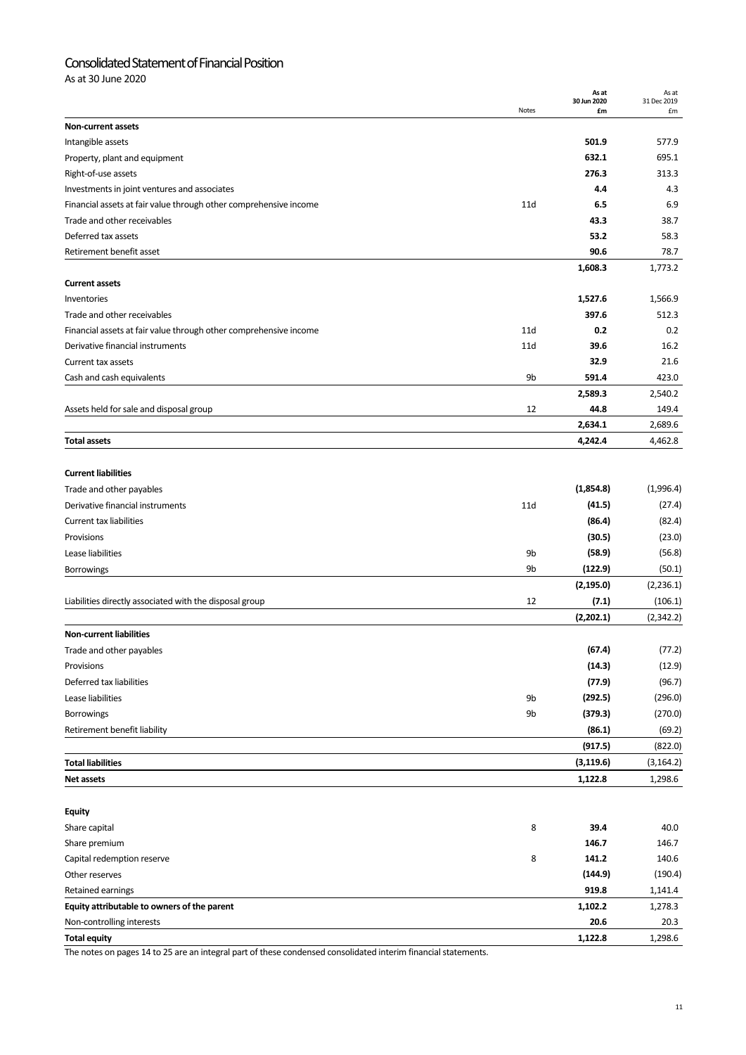## Consolidated Statement of Financial Position

As at 30 June 2020

|                                                                   | Notes | As at<br>30 Jun 2020<br>£m | As at<br>31 Dec 2019<br>£m |
|-------------------------------------------------------------------|-------|----------------------------|----------------------------|
| <b>Non-current assets</b>                                         |       |                            |                            |
| Intangible assets                                                 |       | 501.9                      | 577.9                      |
| Property, plant and equipment                                     |       | 632.1                      | 695.1                      |
| Right-of-use assets                                               |       | 276.3                      | 313.3                      |
| Investments in joint ventures and associates                      |       | 4.4                        | 4.3                        |
| Financial assets at fair value through other comprehensive income | 11d   | 6.5                        | 6.9                        |
| Trade and other receivables                                       |       | 43.3                       | 38.7                       |
| Deferred tax assets                                               |       | 53.2                       | 58.3                       |
| Retirement benefit asset                                          |       | 90.6                       | 78.7                       |
|                                                                   |       | 1,608.3                    | 1,773.2                    |
| <b>Current assets</b>                                             |       |                            |                            |
| Inventories                                                       |       | 1,527.6                    | 1,566.9                    |
| Trade and other receivables                                       |       | 397.6                      | 512.3                      |
| Financial assets at fair value through other comprehensive income | 11d   | 0.2                        | 0.2                        |
| Derivative financial instruments                                  | 11d   | 39.6                       | 16.2                       |
| Current tax assets                                                |       | 32.9                       | 21.6                       |
| Cash and cash equivalents                                         | 9b    | 591.4                      | 423.0                      |
|                                                                   |       | 2,589.3                    | 2,540.2                    |
| Assets held for sale and disposal group                           | 12    | 44.8                       | 149.4                      |
|                                                                   |       | 2,634.1                    | 2,689.6                    |
| <b>Total assets</b>                                               |       | 4,242.4                    | 4,462.8                    |
| <b>Current liabilities</b>                                        |       |                            |                            |
|                                                                   |       |                            |                            |
| Trade and other payables                                          |       | (1,854.8)                  | (1,996.4)                  |
| Derivative financial instruments                                  | 11d   | (41.5)                     | (27.4)                     |
| <b>Current tax liabilities</b>                                    |       | (86.4)                     | (82.4)                     |
| Provisions                                                        |       | (30.5)                     | (23.0)                     |
| Lease liabilities                                                 | 9b    | (58.9)                     | (56.8)                     |
| <b>Borrowings</b>                                                 | 9b    | (122.9)                    | (50.1)                     |
|                                                                   |       | (2, 195.0)                 | (2, 236.1)                 |
| Liabilities directly associated with the disposal group           | 12    | (7.1)                      | (106.1)                    |
|                                                                   |       | (2,202.1)                  | (2, 342.2)                 |
| <b>Non-current liabilities</b>                                    |       |                            |                            |
| Trade and other payables                                          |       | (67.4)                     | (77.2)                     |
| Provisions                                                        |       | (14.3)                     | (12.9)                     |
| Deferred tax liabilities                                          |       | (77.9)                     | (96.7)                     |
| Lease liabilities                                                 | 9b    | (292.5)                    | (296.0)                    |
| <b>Borrowings</b>                                                 | 9b    | (379.3)                    | (270.0)                    |
| Retirement benefit liability                                      |       | (86.1)                     | (69.2)                     |
|                                                                   |       | (917.5)                    | (822.0)                    |
| <b>Total liabilities</b>                                          |       | (3, 119.6)                 | (3, 164.2)                 |
| <b>Net assets</b>                                                 |       | 1,122.8                    | 1,298.6                    |
|                                                                   |       |                            |                            |
| <b>Equity</b>                                                     |       |                            |                            |
| Share capital                                                     | 8     | 39.4                       | 40.0                       |
| Share premium                                                     |       | 146.7                      | 146.7                      |
| Capital redemption reserve                                        | 8     | 141.2                      | 140.6                      |
| Other reserves                                                    |       | (144.9)                    | (190.4)                    |
| Retained earnings                                                 |       | 919.8                      | 1,141.4                    |
| Equity attributable to owners of the parent                       |       | 1,102.2                    | 1,278.3                    |
| Non-controlling interests                                         |       | 20.6                       | 20.3                       |
| <b>Total equity</b>                                               |       | 1,122.8                    | 1,298.6                    |

The notes on pages 14 to 25 are an integral part of these condensed consolidated interim financial statements.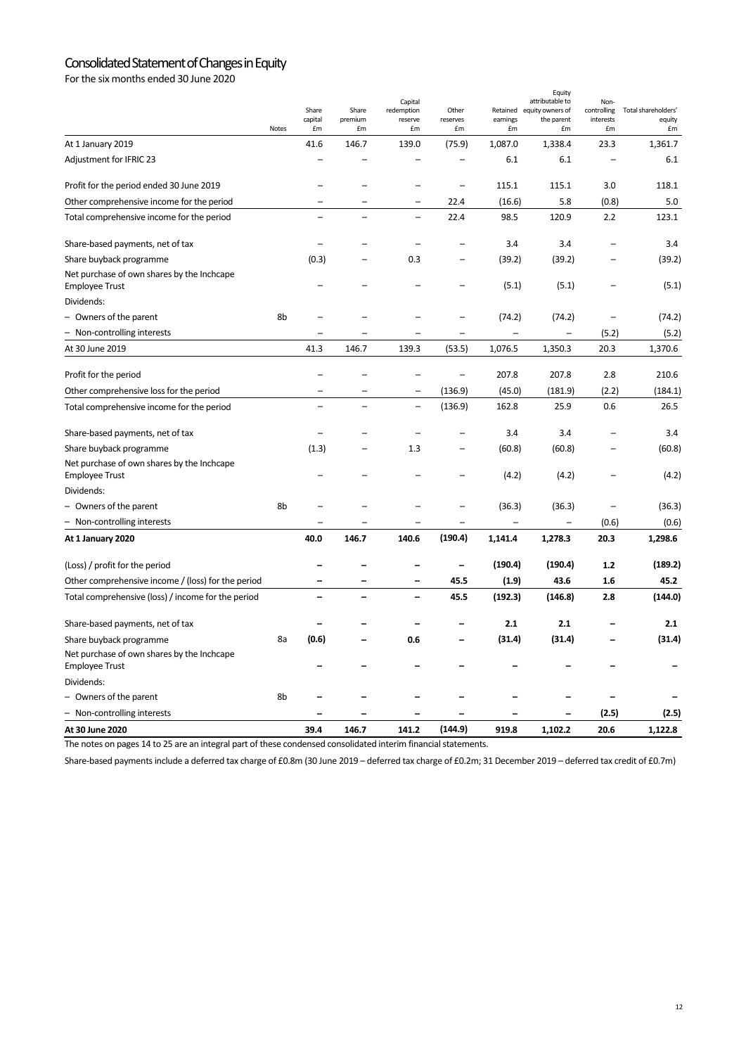## Consolidated Statement of Changes in Equity

For the six months ended 30 June 2020

| - Non-controlling interests                                         |       |                        |                        |                             |                          |                          |                                               | (2.5)                          | (2.5)                               |
|---------------------------------------------------------------------|-------|------------------------|------------------------|-----------------------------|--------------------------|--------------------------|-----------------------------------------------|--------------------------------|-------------------------------------|
| - Owners of the parent                                              | 8b    |                        |                        |                             |                          |                          |                                               |                                |                                     |
| Dividends:                                                          |       |                        |                        |                             |                          |                          |                                               |                                |                                     |
| <b>Employee Trust</b>                                               |       |                        |                        |                             |                          |                          |                                               |                                |                                     |
| Net purchase of own shares by the Inchcape                          |       |                        |                        |                             |                          |                          |                                               |                                |                                     |
| Share buyback programme                                             | 8a    | (0.6)                  |                        | 0.6                         | $\overline{\phantom{0}}$ | (31.4)                   | (31.4)                                        |                                | (31.4)                              |
| Share-based payments, net of tax                                    |       |                        |                        |                             |                          | 2.1                      | 2.1                                           |                                | 2.1                                 |
| Total comprehensive (loss) / income for the period                  |       |                        |                        |                             | 45.5                     | (192.3)                  | (146.8)                                       | 2.8                            | (144.0)                             |
| Other comprehensive income / (loss) for the period                  |       |                        |                        |                             | 45.5                     | (1.9)                    | 43.6                                          | 1.6                            | 45.2                                |
| (Loss) / profit for the period                                      |       |                        |                        |                             | $\overline{\phantom{0}}$ | (190.4)                  | (190.4)                                       | $1.2$                          | (189.2)                             |
| At 1 January 2020                                                   |       | 40.0                   | 146.7                  | 140.6                       | (190.4)                  | 1,141.4                  | 1,278.3                                       | 20.3                           | 1,298.6                             |
| Non-controlling interests                                           |       |                        |                        |                             |                          | $\overline{\phantom{0}}$ |                                               | (0.6)                          | (0.6)                               |
| - Owners of the parent                                              | 8b    |                        |                        |                             |                          | (36.3)                   | (36.3)                                        | $\overline{\phantom{0}}$       | (36.3)                              |
| Dividends:                                                          |       |                        |                        |                             |                          |                          |                                               |                                |                                     |
| Net purchase of own shares by the Inchcape<br><b>Employee Trust</b> |       |                        |                        |                             |                          | (4.2)                    | (4.2)                                         |                                | (4.2)                               |
| Share buyback programme                                             |       | (1.3)                  |                        | 1.3                         |                          | (60.8)                   | (60.8)                                        |                                | (60.8)                              |
| Share-based payments, net of tax                                    |       |                        |                        |                             |                          | 3.4                      | 3.4                                           |                                | 3.4                                 |
| Total comprehensive income for the period                           |       |                        |                        | $\equiv$                    | (136.9)                  | 162.8                    | 25.9                                          | 0.6                            | 26.5                                |
| Other comprehensive loss for the period                             |       |                        |                        |                             | (136.9)                  | (45.0)                   | (181.9)                                       | (2.2)                          | (184.1)                             |
| Profit for the period                                               |       |                        |                        |                             | $\overline{\phantom{0}}$ | 207.8                    | 207.8                                         | 2.8                            | 210.6                               |
|                                                                     |       |                        |                        |                             |                          |                          |                                               |                                |                                     |
| At 30 June 2019                                                     |       | 41.3                   | 146.7                  | 139.3                       | (53.5)                   | 1,076.5                  | 1,350.3                                       | 20.3                           | 1,370.6                             |
| Non-controlling interests                                           |       |                        |                        |                             |                          | $\overline{\phantom{0}}$ |                                               | (5.2)                          | (5.2)                               |
| - Owners of the parent                                              | 8b    |                        |                        |                             |                          | (74.2)                   | (74.2)                                        |                                | (74.2)                              |
| Dividends:                                                          |       |                        |                        |                             |                          |                          |                                               |                                |                                     |
| Net purchase of own shares by the Inchcape<br><b>Employee Trust</b> |       |                        |                        |                             |                          | (5.1)                    | (5.1)                                         |                                | (5.1)                               |
| Share buyback programme                                             |       | (0.3)                  |                        | 0.3                         |                          | (39.2)                   | (39.2)                                        |                                | (39.2)                              |
| Share-based payments, net of tax                                    |       |                        |                        |                             |                          | 3.4                      | 3.4                                           |                                | 3.4                                 |
| Total comprehensive income for the period                           |       |                        |                        |                             | 22.4                     | 98.5                     | 120.9                                         | 2.2                            | 123.1                               |
| Other comprehensive income for the period                           |       |                        |                        |                             | 22.4                     | (16.6)                   | 5.8                                           | (0.8)                          | 5.0                                 |
| Profit for the period ended 30 June 2019                            |       |                        |                        |                             | $\overline{\phantom{0}}$ | 115.1                    | 115.1                                         | 3.0                            | 118.1                               |
| Adjustment for IFRIC 23                                             |       |                        |                        |                             |                          | 6.1                      | 6.1                                           |                                | 6.1                                 |
| At 1 January 2019                                                   |       | 41.6                   | 146.7                  | 139.0                       | (75.9)                   | 1,087.0                  | 1,338.4                                       | 23.3                           | 1,361.7                             |
|                                                                     | Notes | Share<br>capital<br>£m | Share<br>premium<br>£m | redemption<br>reserve<br>£m | Other<br>reserves<br>£m  | earnings<br>£m           | Retained equity owners of<br>the parent<br>£m | controlling<br>interests<br>£m | Total shareholders'<br>equity<br>£m |
|                                                                     |       |                        |                        | Capital                     |                          |                          | Equity<br>attributable to                     | Non-                           |                                     |

The notes on pages 14 to 25 are an integral part of these condensed consolidated interim financial statements.

Share-based payments include a deferred tax charge of £0.8m (30 June 2019 – deferred tax charge of £0.2m; 31 December 2019 – deferred tax credit of £0.7m)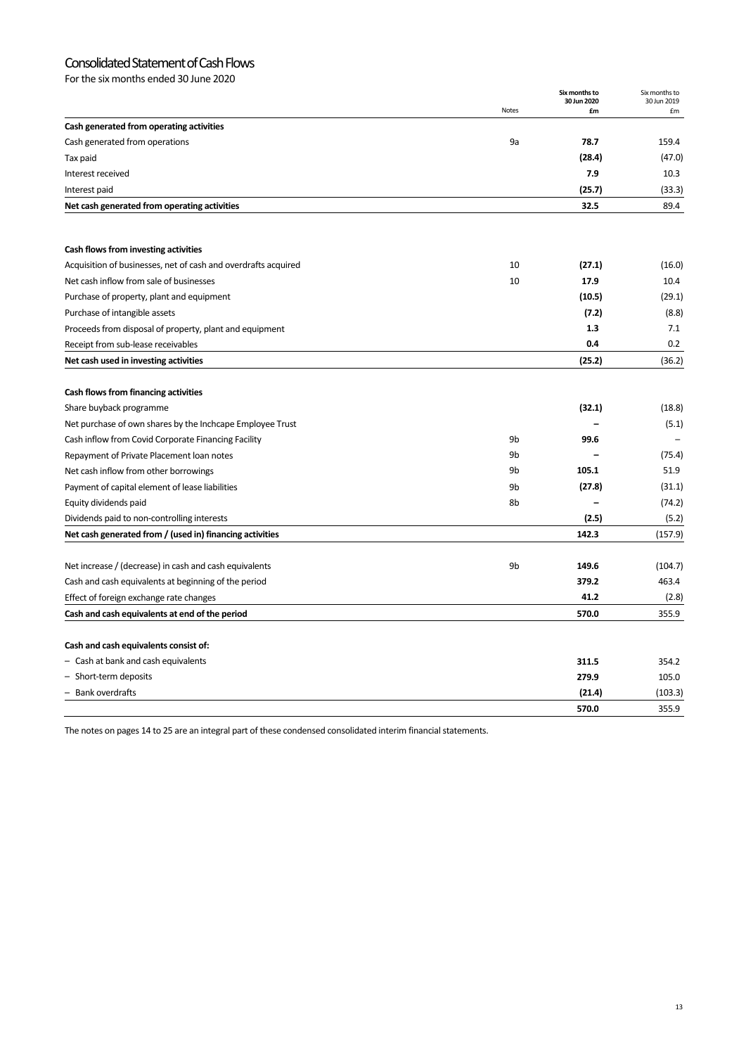## Consolidated Statement of Cash Flows

For the six months ended 30 June 2020

|                                                                |              | Six months to<br>30 Jun 2020 | Six months to<br>30 Jun 2019 |  |
|----------------------------------------------------------------|--------------|------------------------------|------------------------------|--|
|                                                                | <b>Notes</b> | £m                           | £m                           |  |
| Cash generated from operating activities                       |              |                              |                              |  |
| Cash generated from operations                                 | 9a           | 78.7                         | 159.4                        |  |
| Tax paid                                                       |              | (28.4)                       | (47.0)                       |  |
| Interest received                                              |              | 7.9                          | 10.3                         |  |
| Interest paid                                                  |              | (25.7)                       | (33.3)                       |  |
| Net cash generated from operating activities                   |              | 32.5                         | 89.4                         |  |
| Cash flows from investing activities                           |              |                              |                              |  |
| Acquisition of businesses, net of cash and overdrafts acquired | 10           | (27.1)                       | (16.0)                       |  |
| Net cash inflow from sale of businesses                        | 10           | 17.9                         | 10.4                         |  |
| Purchase of property, plant and equipment                      |              | (10.5)                       | (29.1)                       |  |
| Purchase of intangible assets                                  |              | (7.2)                        | (8.8)                        |  |
| Proceeds from disposal of property, plant and equipment        |              | 1.3                          | 7.1                          |  |
| Receipt from sub-lease receivables                             |              | 0.4                          | 0.2                          |  |
| Net cash used in investing activities                          |              | (25.2)                       | (36.2)                       |  |
| Cash flows from financing activities                           |              |                              |                              |  |
| Share buyback programme                                        |              | (32.1)                       | (18.8)                       |  |
| Net purchase of own shares by the Inchcape Employee Trust      |              |                              | (5.1)                        |  |
| Cash inflow from Covid Corporate Financing Facility            | 9b           | 99.6                         |                              |  |
| Repayment of Private Placement Ioan notes                      | 9b           |                              | (75.4)                       |  |
| Net cash inflow from other borrowings                          | 9b           | 105.1                        | 51.9                         |  |
| Payment of capital element of lease liabilities                | 9b           | (27.8)                       | (31.1)                       |  |
| Equity dividends paid                                          | 8b           |                              | (74.2)                       |  |
| Dividends paid to non-controlling interests                    |              | (2.5)                        | (5.2)                        |  |
| Net cash generated from / (used in) financing activities       |              | 142.3                        | (157.9)                      |  |
| Net increase / (decrease) in cash and cash equivalents         | 9b           | 149.6                        | (104.7)                      |  |
| Cash and cash equivalents at beginning of the period           |              | 379.2                        | 463.4                        |  |
| Effect of foreign exchange rate changes                        |              | 41.2                         | (2.8)                        |  |
| Cash and cash equivalents at end of the period                 |              | 570.0                        | 355.9                        |  |
| Cash and cash equivalents consist of:                          |              |                              |                              |  |
| - Cash at bank and cash equivalents                            |              | 311.5                        | 354.2                        |  |
| - Short-term deposits                                          |              | 279.9                        | 105.0                        |  |
| Bank overdrafts                                                |              | (21.4)                       | (103.3)                      |  |
|                                                                |              | 570.0                        | 355.9                        |  |

The notes on pages 14 to 25 are an integral part of these condensed consolidated interim financial statements.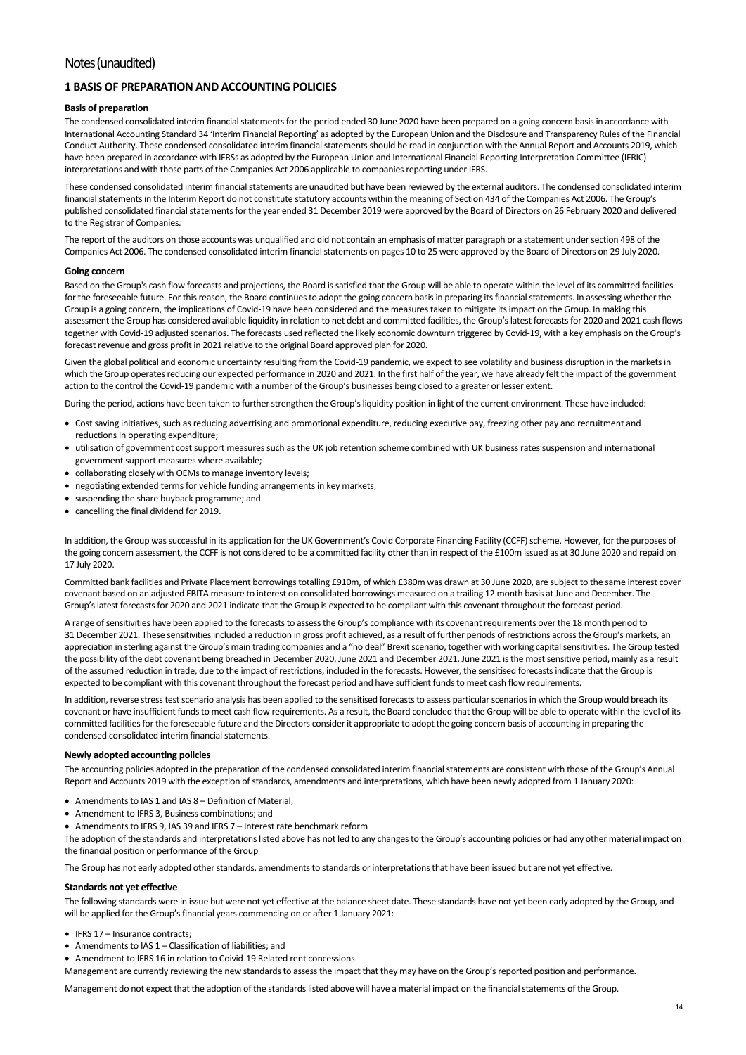## Notes (unaudited)

## **1 BASIS OF PREPARATION AND ACCOUNTING POLICIES**

#### **Basis of preparation**

The condensed consolidated interim financial statements for the period ended 30 June 2020 have been prepared on a going concern basis in accordance with International Accounting Standard 34 'Interim Financial Reporting' as adopted by the European Union and the Disclosure and Transparency Rules of the Financial Conduct Authority. These condensed consolidated interim financial statements should be read in conjunction with the Annual Report and Accounts 2019, which have been prepared in accordance with IFRSs as adopted by the European Union and International Financial Reporting Interpretation Committee (IFRIC) interpretations and with those parts of the Companies Act 2006 applicable to companies reporting under IFRS.

These condensed consolidated interim financial statements are unaudited but have been reviewed by the external auditors. The condensed consolidated interim financial statements in the Interim Report do not constitute statutory accounts within the meaning of Section 434 of the Companies Act 2006. The Group's published consolidated financial statements for the year ended 31 December 2019 were approved by the Board of Directors on 26 February 2020 and delivered to the Registrar of Companies.

The report of the auditors on those accounts was unqualified and did not contain an emphasis of matter paragraph or a statement under section 498 of the Companies Act 2006. The condensed consolidated interim financial statements on pages 10 to 25 were approved by the Board of Directors on 29 July 2020.

#### **Going concern**

Based on the Group's cash flow forecasts and projections, the Board is satisfied that the Group will be able to operate within the level of its committed facilities for the foreseeable future. For this reason, the Board continues to adopt the going concern basis in preparing its financial statements. In assessing whether the Group is a going concern, the implications of Covid-19 have been considered and the measures taken to mitigate itsimpact on the Group. In making this assessment the Group has considered available liquidity in relation to net debt and committed facilities, the Group's latest forecasts for 2020 and 2021 cash flows together with Covid-19 adjusted scenarios. The forecasts used reflected the likely economic downturn triggered by Covid-19, with a key emphasis on the Group's forecast revenue and gross profit in 2021 relative to the original Board approved plan for 2020.

Given the global political and economic uncertainty resulting from the Covid-19 pandemic, we expect to see volatility and business disruption in the markets in which the Group operates reducing our expected performance in 2020 and 2021. In the first half of the year, we have already felt the impact of the government action to the control the Covid-19 pandemic with a number of the Group's businesses being closed to a greater or lesser extent.

During the period, actions have been taken to further strengthen the Group's liquidity position in light of the current environment. These have included:

- Cost saving initiatives, such as reducing advertising and promotional expenditure, reducing executive pay, freezing other pay and recruitment and reductions in operating expenditure;
- utilisation of government cost support measures such as the UK job retention scheme combined with UK business rates suspension and international government support measures where available;
- collaborating closely with OEMs to manage inventory levels;
- negotiating extended terms for vehicle funding arrangements in key markets;
- suspending the share buyback programme; and
- cancelling the final dividend for 2019.

In addition, the Group was successful in its application for the UK Government's Covid Corporate Financing Facility (CCFF) scheme. However, for the purposes of the going concern assessment, the CCFF is not considered to be a committed facility other than in respect of the £100m issued as at 30 June 2020 and repaid on 17 July 2020.

Committed bank facilities and Private Placement borrowings totalling £910m, of which £380m was drawn at 30 June 2020, are subject to the same interest cover covenant based on an adjusted EBITA measure to interest on consolidated borrowings measured on a trailing 12 month basis at June and December. The Group's latest forecasts for 2020 and 2021 indicate that the Group is expected to be compliant with this covenant throughout the forecast period.

A range of sensitivities have been applied to the forecasts to assess the Group's compliance with its covenant requirements over the 18 month period to 31 December 2021. These sensitivities included a reduction in gross profit achieved, as a result of further periods of restrictions across the Group's markets, an appreciation in sterling against the Group's main trading companies and a "no deal" Brexit scenario, together with working capital sensitivities. The Group tested the possibility of the debt covenant being breached in December 2020, June 2021 and December 2021. June 2021 is the most sensitive period, mainly as a result of the assumed reduction in trade, due to the impact of restrictions, included in the forecasts. However, the sensitised forecasts indicate that the Group is expected to be compliant with this covenant throughout the forecast period and have sufficient funds to meet cash flow requirements.

In addition, reverse stress test scenario analysis has been applied to the sensitised forecasts to assess particular scenarios in which the Group would breach its covenant or have insufficient funds to meet cash flow requirements. As a result, the Board concluded that the Group will be able to operate within the level of its committed facilities for the foreseeable future and the Directors consider it appropriate to adopt the going concern basis of accounting in preparing the condensed consolidated interim financial statements.

#### **Newly adopted accounting policies**

The accounting policies adopted in the preparation of the condensed consolidated interim financial statements are consistent with those of the Group's Annual Report and Accounts 2019 with the exception of standards, amendments and interpretations, which have been newly adopted from 1 January 2020:

- Amendments to IAS 1 and IAS 8 Definition of Material;
- Amendment to IFRS 3, Business combinations; and
- Amendments to IFRS 9, IAS 39 and IFRS 7 Interest rate benchmark reform

The adoption of the standards and interpretations listed above has not led to any changes to the Group's accounting policies or had any other material impact on the financial position or performance of the Group

The Group has not early adopted other standards, amendments to standards or interpretations that have been issued but are not yet effective.

#### **Standards not yet effective**

The following standards were in issue but were not yet effective at the balance sheet date. These standards have not yet been early adopted by the Group, and will be applied for the Group's financial years commencing on or after 1 January 2021:

- IFRS 17 Insurance contracts:
- Amendments to IAS 1 Classification of liabilities; and
- Amendment to IFRS 16 in relation to Coivid-19 Related rent concessions

Management are currently reviewing the new standards to assess the impact that they may have on the Group's reported position and performance.

Management do not expect that the adoption of the standards listed above will have a material impact on the financial statements of the Group.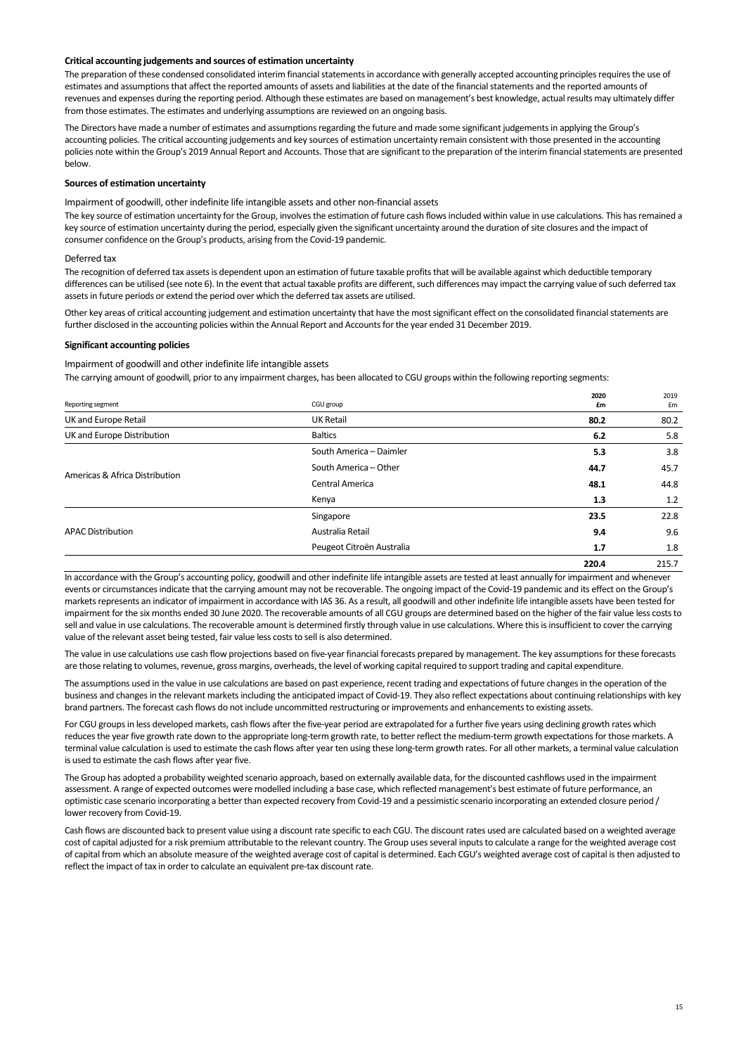#### **Critical accounting judgements and sources of estimation uncertainty**

The preparation of these condensed consolidated interim financial statements in accordance with generally accepted accounting principles requires the use of estimates and assumptions that affect the reported amounts of assets and liabilities at the date of the financial statements and the reported amounts of revenues and expenses during the reporting period. Although these estimates are based on management's best knowledge, actual results may ultimately differ from those estimates. The estimates and underlying assumptions are reviewed on an ongoing basis.

The Directors have made a number of estimates and assumptions regarding the future and made some significant judgements in applying the Group's accounting policies. The critical accounting judgements and key sources of estimation uncertainty remain consistent with those presented in the accounting policies note within the Group's 2019 Annual Report and Accounts. Those that are significant to the preparation of the interim financial statements are presented below.

#### **Sources of estimation uncertainty**

Impairment of goodwill, other indefinite life intangible assets and other non-financial assets

The key source of estimation uncertainty for the Group, involves the estimation of future cash flows included within value in use calculations. This has remained a key source of estimation uncertainty during the period, especially given the significant uncertainty around the duration of site closures and the impact of consumer confidence on the Group's products, arising from the Covid-19 pandemic.

#### Deferred tax

The recognition of deferred tax assets is dependent upon an estimation of future taxable profits that will be available against which deductible temporary differences can be utilised (see note 6). In the event that actual taxable profits are different, such differences may impact the carrying value of such deferred tax assets in future periods or extend the period over which the deferred tax assets are utilised.

Other key areas of critical accounting judgement and estimation uncertainty that have the most significant effect on the consolidated financial statements are further disclosed in the accounting policies within the Annual Report and Accounts for the year ended 31 December 2019.

#### **Significant accounting policies**

Impairment of goodwill and other indefinite life intangible assets

The carrying amount of goodwill, prior to any impairment charges, has been allocated to CGU groups within the following reporting segments:

| Reporting segment              | CGU group                 | 2020<br>£m | 2019<br>£m |
|--------------------------------|---------------------------|------------|------------|
| UK and Europe Retail           | <b>UK Retail</b>          | 80.2       | 80.2       |
| UK and Europe Distribution     | <b>Baltics</b>            | 6.2        | 5.8        |
| Americas & Africa Distribution | South America - Daimler   | 5.3        | 3.8        |
|                                | South America - Other     | 44.7       | 45.7       |
|                                | Central America           | 48.1       | 44.8       |
|                                | Kenya                     | 1.3        | 1.2        |
|                                | Singapore                 | 23.5       | 22.8       |
| <b>APAC Distribution</b>       | Australia Retail          | 9.4        | 9.6        |
|                                | Peugeot Citroën Australia | 1.7        | 1.8        |
|                                |                           | 220.4      | 215.7      |

In accordance with the Group's accounting policy, goodwill and other indefinite life intangible assets are tested at least annually for impairment and whenever events or circumstances indicate that the carrying amount may not be recoverable. The ongoing impact of the Covid-19 pandemic and its effect on the Group's markets represents an indicator of impairment in accordance with IAS 36. As a result, all goodwill and other indefinite life intangible assets have been tested for impairment for the six months ended 30 June 2020. The recoverable amounts of all CGU groups are determined based on the higher of the fair value less costs to sell and value in use calculations. The recoverable amount is determined firstly through value in use calculations. Where this is insufficient to cover the carrying value of the relevant asset being tested, fair value less costs to sell is also determined.

The value in use calculations use cash flow projections based on five-year financial forecasts prepared by management. The key assumptions for these forecasts are those relating to volumes, revenue, gross margins, overheads, the level of working capital required to support trading and capital expenditure.

The assumptions used in the value in use calculations are based on past experience, recent trading and expectations of future changes in the operation of the business and changes in the relevant marketsincluding the anticipated impact of Covid-19. They also reflect expectations about continuing relationships with key brand partners. The forecast cash flows do not include uncommitted restructuring or improvements and enhancements to existing assets.

For CGU groups in less developed markets, cash flows after the five-year period are extrapolated for a further five years using declining growth rates which reduces the year five growth rate down to the appropriate long-term growth rate, to better reflect the medium-term growth expectations for those markets. A terminal value calculation is used to estimate the cash flows after year ten using these long-term growth rates. For all other markets, a terminal value calculation is used to estimate the cash flows after year five.

The Group has adopted a probability weighted scenario approach, based on externally available data, for the discounted cashflows used in the impairment assessment. A range of expected outcomes were modelled including a base case, which reflected management's best estimate of future performance, an optimistic case scenario incorporating a better than expected recovery from Covid-19 and a pessimistic scenario incorporating an extended closure period / lower recovery from Covid-19.

Cash flows are discounted back to present value using a discount rate specific to each CGU. The discount rates used are calculated based on a weighted average cost of capital adjusted for a risk premium attributable to the relevant country. The Group uses several inputs to calculate a range for the weighted average cost of capital from which an absolute measure of the weighted average cost of capital is determined. Each CGU's weighted average cost of capital is then adjusted to reflect the impact of tax in order to calculate an equivalent pre-tax discount rate.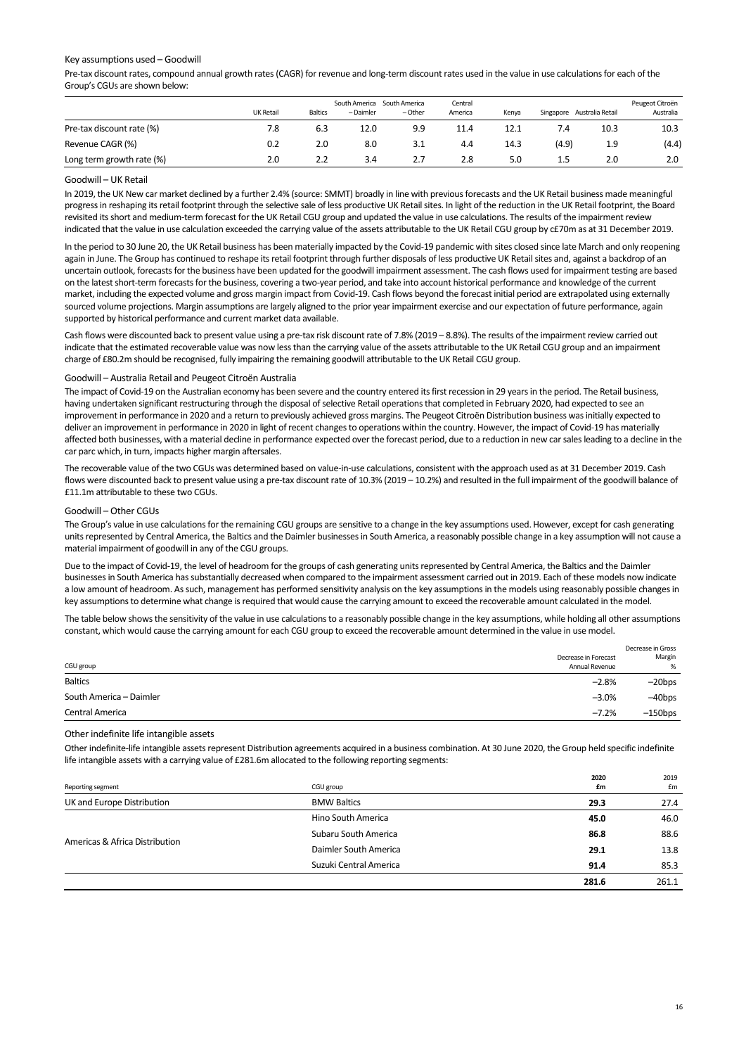#### Key assumptions used – Goodwill

Pre-tax discount rates, compound annual growth rates (CAGR) for revenue and long-term discount rates used in the value in use calculations for each of the Group's CGUs are shown below:

|                           | <b>UK Retail</b> | <b>Baltics</b> | South America<br>- Daimler | South America<br>$-$ Other | Central<br>America | Kenva |       | Singapore Australia Retail | Peugeot Citroën<br>Australia |
|---------------------------|------------------|----------------|----------------------------|----------------------------|--------------------|-------|-------|----------------------------|------------------------------|
| Pre-tax discount rate (%) | 7.8              | 6.3            | 12.0                       | 9.9                        | 11.4               | 12.1  | 7.4   | 10.3                       | 10.3                         |
| Revenue CAGR (%)          | 0.2              | 2.0            | 8.0                        |                            | 4.4                | 14.3  | (4.9) | 1.9                        | (4.4)                        |
| Long term growth rate (%) | 2.0              | 2.2            | 3.4                        | 2.7                        | 2.8                | 5.0   | 1.5   | 2.0                        | 2.0                          |

#### Goodwill – UK Retail

In 2019, the UK New car market declined by a further 2.4% (source: SMMT) broadly in line with previous forecasts and the UK Retail business made meaningful progress in reshaping its retail footprint through the selective sale of less productive UK Retail sites. In light of the reduction in the UK Retail footprint, the Board revisited its short and medium-term forecast for the UK Retail CGU group and updated the value in use calculations. The results of the impairment review indicated that the value in use calculation exceeded the carrying value of the assets attributable to the UK Retail CGU group by c£70m as at 31 December 2019.

In the period to 30 June 20, the UK Retail business has been materially impacted by the Covid-19 pandemic with sites closed since late March and only reopening again in June. The Group has continued to reshape its retail footprint through further disposals of less productive UK Retail sites and, against a backdrop of an uncertain outlook, forecasts for the business have been updated for the goodwill impairment assessment. The cash flows used for impairment testing are based on the latest short-term forecasts for the business, covering a two-year period, and take into account historical performance and knowledge of the current market, including the expected volume and gross margin impact from Covid-19. Cash flows beyond the forecast initial period are extrapolated using externally sourced volume projections. Margin assumptions are largely aligned to the prior year impairment exercise and our expectation of future performance, again supported by historical performance and current market data available.

Cash flows were discounted back to present value using a pre-tax risk discount rate of 7.8% (2019 – 8.8%). The results of the impairment review carried out indicate that the estimated recoverable value was now less than the carrying value of the assets attributable to the UK Retail CGU group and an impairment charge of £80.2m should be recognised, fully impairing the remaining goodwill attributable to the UK Retail CGU group.

#### Goodwill – Australia Retail and Peugeot Citroën Australia

The impact of Covid-19 on the Australian economy has been severe and the country entered its first recession in 29 years in the period. The Retail business, having undertaken significant restructuring through the disposal of selective Retail operations that completed in February 2020, had expected to see an improvement in performance in 2020 and a return to previously achieved gross margins. The Peugeot Citroën Distribution business was initially expected to deliver an improvement in performance in 2020 in light of recent changes to operations within the country. However, the impact of Covid-19 has materially affected both businesses, with a material decline in performance expected over the forecast period, due to a reduction in new car sales leading to a decline in the car parc which, in turn, impacts higher margin aftersales.

The recoverable value of the two CGUs was determined based on value-in-use calculations, consistent with the approach used as at 31 December 2019. Cash flows were discounted back to present value using a pre-tax discount rate of 10.3% (2019 - 10.2%) and resulted in the full impairment of the goodwill balance of £11.1m attributable to these two CGUs.

#### Goodwill – Other CGUs

The Group's value in use calculations for the remaining CGU groups are sensitive to a change in the key assumptions used. However, except for cash generating units represented by Central America, the Baltics and the Daimler businesses in South America, a reasonably possible change in a key assumption will not cause a material impairment of goodwill in any of the CGU groups.

Due to the impact of Covid-19, the level of headroom for the groups of cash generating units represented by Central America, the Baltics and the Daimler businesses in South America has substantially decreased when compared to the impairment assessment carried out in 2019. Each of these models now indicate a low amount of headroom. As such, management has performed sensitivity analysis on the key assumptions in the models using reasonably possible changes in key assumptions to determine what change is required that would cause the carrying amount to exceed the recoverable amount calculated in the model.

The table below shows the sensitivity of the value in use calculations to a reasonably possible change in the key assumptions, while holding all other assumptions constant, which would cause the carrying amount for each CGU group to exceed the recoverable amount determined in the value in use model.

| Decrease in Forecast<br>CGU group<br>Annual Revenue |         | Decrease in Gross<br>Margin<br>% |
|-----------------------------------------------------|---------|----------------------------------|
| <b>Baltics</b>                                      | $-2.8%$ | $-20$ bps                        |
| South America - Daimler                             | $-3.0%$ | $-40$ bps                        |
| Central America                                     | $-7.2%$ | $-150$ bps                       |

#### Other indefinite life intangible assets

Other indefinite-life intangible assetsrepresent Distribution agreements acquired in a business combination. At 30 June 2020, the Group held specific indefinite life intangible assets with a carrying value of £281.6m allocated to the following reporting segments:

|                                |                        | 2020  | 2019  |
|--------------------------------|------------------------|-------|-------|
| Reporting segment              | CGU group              | £m    | £m    |
| UK and Europe Distribution     | <b>BMW Baltics</b>     | 29.3  | 27.4  |
| Americas & Africa Distribution | Hino South America     | 45.0  | 46.0  |
|                                | Subaru South America   | 86.8  | 88.6  |
|                                | Daimler South America  | 29.1  | 13.8  |
|                                | Suzuki Central America | 91.4  | 85.3  |
|                                |                        | 281.6 | 261.1 |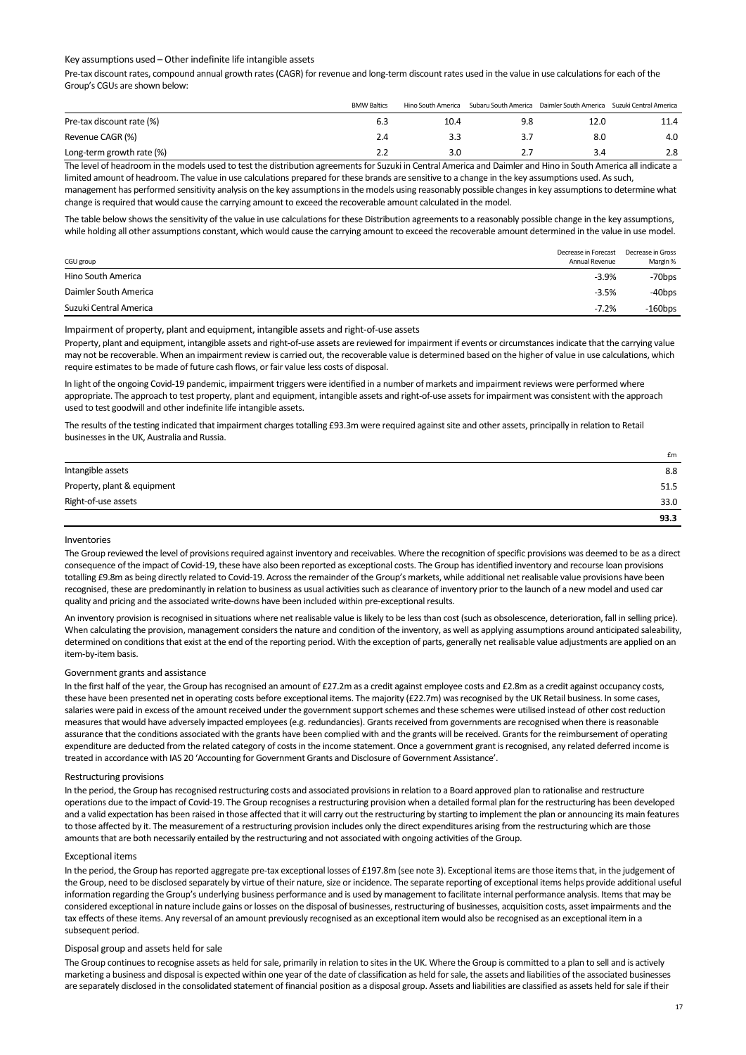#### Key assumptions used – Other indefinite life intangible assets

Pre-tax discount rates, compound annual growth rates (CAGR) for revenue and long-term discount rates used in the value in use calculations for each of the Group's CGUs are shown below:

|                           | <b>BMW Baltics</b> | Hino South America | Subaru South America | Daimler South America Suzuki Central America |      |
|---------------------------|--------------------|--------------------|----------------------|----------------------------------------------|------|
| Pre-tax discount rate (%) | 6.3                | 10.4               | 9.8                  | 12.0                                         | 11.4 |
| Revenue CAGR (%)          | 2.4                |                    |                      | 8.0                                          | 4.0  |
| Long-term growth rate (%) | 2.2                | 3.0                |                      | 3.4                                          | 2.8  |

The level of headroom in the models used to test the distribution agreements for Suzuki in Central America and Daimler and Hino in South America all indicate a limited amount of headroom. The value in use calculations prepared for these brands are sensitive to a change in the key assumptions used. As such, management has performed sensitivity analysis on the key assumptions in the models using reasonably possible changes in key assumptionsto determine what change is required that would cause the carrying amount to exceed the recoverable amount calculated in the model.

The table below shows the sensitivity of the value in use calculations for these Distribution agreements to a reasonably possible change in the key assumptions, while holding all other assumptions constant, which would cause the carrying amount to exceed the recoverable amount determined in the value in use model.

| CGU group              | Decrease in Forecast<br><b>Annual Revenue</b> | Decrease in Gross<br>Margin % |
|------------------------|-----------------------------------------------|-------------------------------|
| Hino South America     | $-3.9%$                                       | -70bps                        |
| Daimler South America  | $-3.5%$                                       | $-40$ bps                     |
| Suzuki Central America | $-7.2%$                                       | $-160$ bps                    |

Impairment of property, plant and equipment, intangible assets and right-of-use assets

Property, plant and equipment, intangible assets and right-of-use assets are reviewed for impairment if events or circumstancesindicate that the carrying value may not be recoverable. When an impairment review is carried out, the recoverable value is determined based on the higher of value in use calculations, which require estimates to be made of future cash flows, or fair value less costs of disposal.

In light of the ongoing Covid-19 pandemic, impairment triggers were identified in a number of markets and impairment reviews were performed where appropriate. The approach to test property, plant and equipment, intangible assets and right-of-use assets for impairment was consistent with the approach used to test goodwill and other indefinite life intangible assets.

The results of the testing indicated that impairment charges totalling £93.3m were required against site and other assets, principally in relation to Retail businessesin the UK, Australia and Russia.

|                             | 93.3 |
|-----------------------------|------|
| Right-of-use assets         | 33.0 |
| Property, plant & equipment | 51.5 |
| Intangible assets           | 8.8  |
|                             | £m   |

#### Inventories

The Group reviewed the level of provisions required against inventory and receivables. Where the recognition of specific provisions was deemed to be as a direct consequence of the impact of Covid-19, these have also been reported as exceptional costs. The Group has identified inventory and recourse loan provisions totalling £9.8m as being directly related to Covid-19. Across the remainder of the Group's markets, while additional net realisable value provisions have been recognised, these are predominantly in relation to business as usual activities such as clearance of inventory prior to the launch of a new model and used car quality and pricing and the associated write-downs have been included within pre-exceptional results.

An inventory provision is recognised in situations where net realisable value is likely to be less than cost (such as obsolescence, deterioration, fall in selling price). When calculating the provision, management considers the nature and condition of the inventory, as well as applying assumptions around anticipated saleability, determined on conditions that exist at the end of the reporting period. With the exception of parts, generally net realisable value adjustments are applied on an item-by-item basis.

#### Government grants and assistance

In the first half of the year, the Group has recognised an amount of £27.2m as a credit against employee costs and £2.8m as a credit against occupancy costs. these have been presented net in operating costs before exceptional items. The majority (£22.7m) was recognised by the UK Retail business. In some cases, salaries were paid in excess of the amount received under the government support schemes and these schemes were utilised instead of other cost reduction measures that would have adversely impacted employees (e.g. redundancies). Grants received from governments are recognised when there is reasonable assurance that the conditions associated with the grants have been complied with and the grants will be received. Grants for the reimbursement of operating expenditure are deducted from the related category of costs in the income statement. Once a government grant is recognised, any related deferred income is treated in accordance with IAS 20 'Accounting for Government Grants and Disclosure of Government Assistance'.

#### Restructuring provisions

In the period, the Group has recognised restructuring costs and associated provisions in relation to a Board approved plan to rationalise and restructure operations due to the impact of Covid-19. The Group recognises a restructuring provision when a detailed formal plan for the restructuring has been developed and a valid expectation has been raised in those affected that it will carry out the restructuring by starting to implement the plan or announcing its main features to those affected by it. The measurement of a restructuring provision includes only the direct expenditures arising from the restructuring which are those amounts that are both necessarily entailed by the restructuring and not associated with ongoing activities of the Group.

#### Exceptional items

In the period, the Group has reported aggregate pre-tax exceptional losses of £197.8m (see note 3). Exceptional items are those items that, in the judgement of the Group, need to be disclosed separately by virtue of their nature, size or incidence. The separate reporting of exceptional items helps provide additional useful information regarding the Group's underlying business performance and is used by management to facilitate internal performance analysis. Items that may be considered exceptional in nature include gains or losses on the disposal of businesses, restructuring of businesses, acquisition costs, asset impairments and the tax effects of these items. Any reversal of an amount previously recognised as an exceptional item would also be recognised as an exceptional item in a subsequent period.

#### Disposal group and assets held for sale

The Group continues to recognise assets as held for sale, primarily in relation to sites in the UK. Where the Group is committed to a plan to sell and is actively marketing a business and disposal is expected within one year of the date of classification as held for sale, the assets and liabilities of the associated businesses are separately disclosed in the consolidated statement of financial position as a disposal group. Assets and liabilities are classified as assets held for sale if their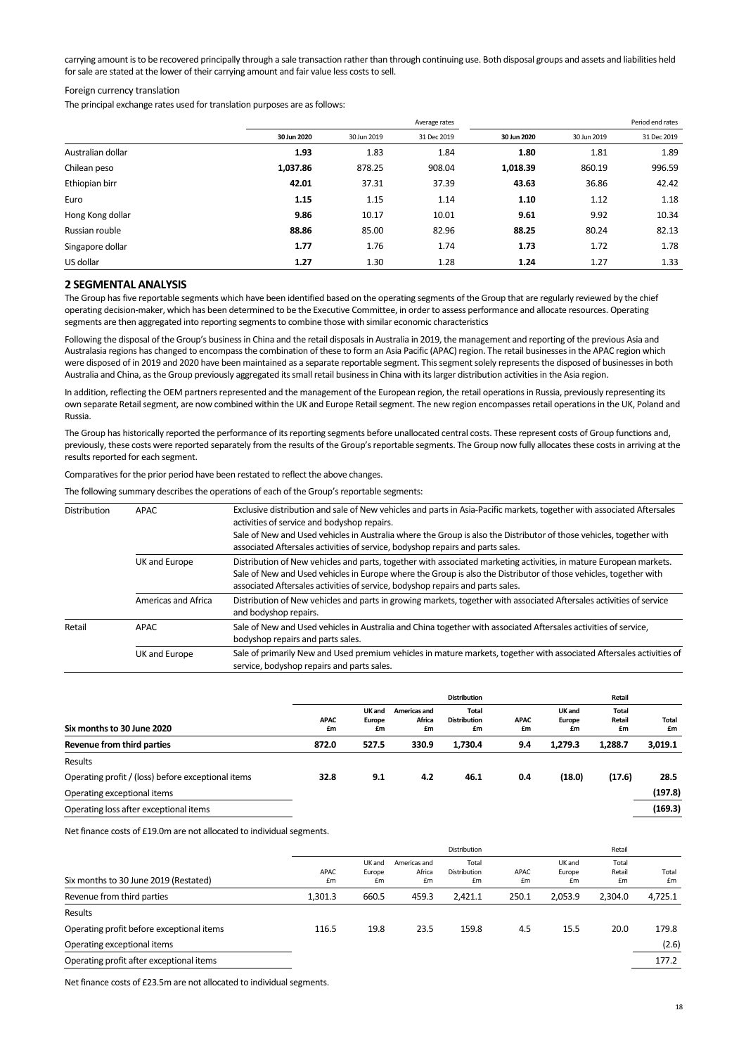carrying amount is to be recovered principally through a sale transaction rather than through continuing use. Both disposal groups and assets and liabilities held for sale are stated at the lower of their carrying amount and fair value less costs to sell.

Foreign currency translation

The principal exchange rates used for translation purposes are as follows:

|                   | Average rates |             |             |             | Period end rates |             |
|-------------------|---------------|-------------|-------------|-------------|------------------|-------------|
|                   | 30 Jun 2020   | 30 Jun 2019 | 31 Dec 2019 | 30 Jun 2020 | 30 Jun 2019      | 31 Dec 2019 |
| Australian dollar | 1.93          | 1.83        | 1.84        | 1.80        | 1.81             | 1.89        |
| Chilean peso      | 1,037.86      | 878.25      | 908.04      | 1,018.39    | 860.19           | 996.59      |
| Ethiopian birr    | 42.01         | 37.31       | 37.39       | 43.63       | 36.86            | 42.42       |
| Euro              | 1.15          | 1.15        | 1.14        | 1.10        | 1.12             | 1.18        |
| Hong Kong dollar  | 9.86          | 10.17       | 10.01       | 9.61        | 9.92             | 10.34       |
| Russian rouble    | 88.86         | 85.00       | 82.96       | 88.25       | 80.24            | 82.13       |
| Singapore dollar  | 1.77          | 1.76        | 1.74        | 1.73        | 1.72             | 1.78        |
| US dollar         | 1.27          | 1.30        | 1.28        | 1.24        | 1.27             | 1.33        |

#### **2 SEGMENTAL ANALYSIS**

The Group has five reportable segments which have been identified based on the operating segments of the Group that are regularly reviewed by the chief operating decision-maker, which has been determined to be the Executive Committee, in order to assess performance and allocate resources. Operating segments are then aggregated into reporting segments to combine those with similar economic characteristics

Following the disposal of the Group's business in China and the retail disposals in Australia in 2019, the management and reporting of the previous Asia and Australasia regions has changed to encompass the combination of these to form an Asia Pacific (APAC) region. The retail businesses in the APAC region which were disposed of in 2019 and 2020 have been maintained as a separate reportable segment. This segment solely represents the disposed of businesses in both Australia and China, as the Group previously aggregated its small retail business in China with its larger distribution activities in the Asia region.

In addition, reflecting the OEM partners represented and the management of the European region, the retail operations in Russia, previously representing its own separate Retail segment, are now combined within the UK and Europe Retail segment. The new region encompasses retail operations in the UK, Poland and Russia.

The Group has historically reported the performance of its reporting segments before unallocated central costs. These represent costs of Group functions and, previously, these costs were reported separately from the results of the Group's reportable segments. The Group now fully allocates these costs in arriving at the results reported for each segment.

Comparatives for the prior period have been restated to reflect the above changes.

The following summary describes the operations of each of the Group's reportable segments:

| <b>Distribution</b> | <b>APAC</b>         | Exclusive distribution and sale of New vehicles and parts in Asia-Pacific markets, together with associated Aftersales<br>activities of service and bodyshop repairs.                                                                                                                                                    |
|---------------------|---------------------|--------------------------------------------------------------------------------------------------------------------------------------------------------------------------------------------------------------------------------------------------------------------------------------------------------------------------|
|                     |                     | Sale of New and Used vehicles in Australia where the Group is also the Distributor of those vehicles, together with<br>associated Aftersales activities of service, bodyshop repairs and parts sales.                                                                                                                    |
|                     | UK and Europe       | Distribution of New vehicles and parts, together with associated marketing activities, in mature European markets.<br>Sale of New and Used vehicles in Europe where the Group is also the Distributor of those vehicles, together with<br>associated Aftersales activities of service, bodyshop repairs and parts sales. |
|                     | Americas and Africa | Distribution of New vehicles and parts in growing markets, together with associated Aftersales activities of service<br>and bodyshop repairs.                                                                                                                                                                            |
| Retail              | <b>APAC</b>         | Sale of New and Used vehicles in Australia and China together with associated Aftersales activities of service,<br>bodyshop repairs and parts sales.                                                                                                                                                                     |
|                     | UK and Europe       | Sale of primarily New and Used premium vehicles in mature markets, together with associated Aftersales activities of<br>service, bodyshop repairs and parts sales.                                                                                                                                                       |

|                                                    | <b>Distribution</b> |                        |                                     |                                           |                   |                        |                       |                    |
|----------------------------------------------------|---------------------|------------------------|-------------------------------------|-------------------------------------------|-------------------|------------------------|-----------------------|--------------------|
| Six months to 30 June 2020                         | <b>APAC</b><br>£m   | UK and<br>Europe<br>£m | <b>Americas and</b><br>Africa<br>£m | <b>Total</b><br><b>Distribution</b><br>£m | <b>APAC</b><br>£m | UK and<br>Europe<br>£m | Total<br>Retail<br>£m | <b>Total</b><br>£m |
| <b>Revenue from third parties</b>                  | 872.0               | 527.5                  | 330.9                               | 1,730.4                                   | 9.4               | 1.279.3                | 1,288.7               | 3,019.1            |
| Results                                            |                     |                        |                                     |                                           |                   |                        |                       |                    |
| Operating profit / (loss) before exceptional items | 32.8                | 9.1                    | 4.2                                 | 46.1                                      | 0.4               | (18.0)                 | (17.6)                | 28.5               |
| Operating exceptional items                        |                     |                        |                                     |                                           |                   |                        |                       | (197.8)            |
| Operating loss after exceptional items             |                     |                        |                                     |                                           |                   |                        |                       | (169.3)            |

Net finance costs of £19.0m are not allocated to individual segments.

|                                           |            | Distribution           |                              |                             |            | Retail                 |                       |             |  |
|-------------------------------------------|------------|------------------------|------------------------------|-----------------------------|------------|------------------------|-----------------------|-------------|--|
| Six months to 30 June 2019 (Restated)     | APAC<br>£m | UK and<br>Europe<br>£m | Americas and<br>Africa<br>£m | Total<br>Distribution<br>£m | APAC<br>£m | UK and<br>Europe<br>£m | Total<br>Retail<br>£m | Total<br>£m |  |
| Revenue from third parties                | 1,301.3    | 660.5                  | 459.3                        | 2,421.1                     | 250.1      | 2,053.9                | 2.304.0               | 4,725.1     |  |
| Results                                   |            |                        |                              |                             |            |                        |                       |             |  |
| Operating profit before exceptional items | 116.5      | 19.8                   | 23.5                         | 159.8                       | 4.5        | 15.5                   | 20.0                  | 179.8       |  |
| Operating exceptional items               |            |                        |                              |                             |            |                        |                       | (2.6)       |  |
| Operating profit after exceptional items  |            |                        |                              |                             |            |                        |                       | 177.2       |  |

Net finance costs of £23.5m are not allocated to individual segments.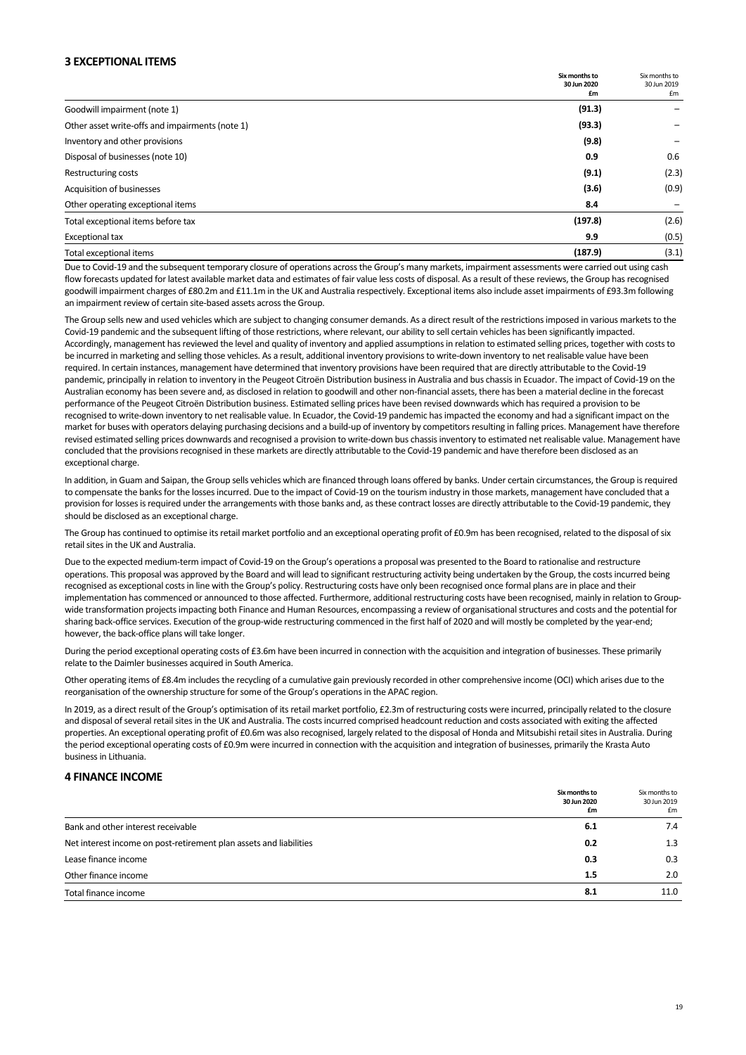## **3 EXCEPTIONAL ITEMS**

|                                                 | Six months to<br>30 Jun 2020<br>£m | Six months to<br>30 Jun 2019<br>£m |
|-------------------------------------------------|------------------------------------|------------------------------------|
| Goodwill impairment (note 1)                    | (91.3)                             |                                    |
| Other asset write-offs and impairments (note 1) | (93.3)                             |                                    |
| Inventory and other provisions                  | (9.8)                              |                                    |
| Disposal of businesses (note 10)                | 0.9                                | 0.6                                |
| Restructuring costs                             | (9.1)                              | (2.3)                              |
| Acquisition of businesses                       | (3.6)                              | (0.9)                              |
| Other operating exceptional items               | 8.4                                | $\qquad \qquad -$                  |
| Total exceptional items before tax              | (197.8)                            | (2.6)                              |
| Exceptional tax                                 | 9.9                                | (0.5)                              |
| Total exceptional items                         | (187.9)                            | (3.1)                              |

Due to Covid-19 and the subsequent temporary closure of operations across the Group's many markets, impairment assessments were carried out using cash flow forecasts updated for latest available market data and estimates of fair value less costs of disposal. As a result of these reviews, the Group has recognised goodwill impairment charges of £80.2m and £11.1m in the UK and Australia respectively. Exceptional items also include asset impairments of £93.3m following an impairment review of certain site-based assets across the Group.

The Group sells new and used vehicles which are subject to changing consumer demands. As a direct result of the restrictions imposed in various markets to the Covid-19 pandemic and the subsequent lifting of those restrictions, where relevant, our ability to sell certain vehicles has been significantly impacted. Accordingly, management has reviewed the level and quality of inventory and applied assumptions in relation to estimated selling prices, together with costs to be incurred in marketing and selling those vehicles. As a result, additional inventory provisions to write-down inventory to net realisable value have been required. In certain instances, management have determined that inventory provisions have been required that are directly attributable to the Covid-19 pandemic, principally in relation to inventory in the Peugeot Citroën Distribution business in Australia and bus chassis in Ecuador. The impact of Covid-19 on the Australian economy has been severe and, as disclosed in relation to goodwill and other non-financial assets, there has been a material decline in the forecast performance of the Peugeot Citroën Distribution business. Estimated selling prices have been revised downwards which has required a provision to be recognised to write-down inventory to net realisable value. In Ecuador, the Covid-19 pandemic has impacted the economy and had a significant impact on the market for buses with operators delaying purchasing decisions and a build-up of inventory by competitors resulting in falling prices. Management have therefore revised estimated selling prices downwards and recognised a provision to write-down bus chassis inventory to estimated net realisable value. Management have concluded that the provisions recognised in these markets are directly attributable to the Covid-19 pandemic and have therefore been disclosed as an exceptional charge.

In addition, in Guam and Saipan, the Group sells vehicles which are financed through loans offered by banks. Under certain circumstances, the Group is required to compensate the banks for the losses incurred. Due to the impact of Covid-19 on the tourism industry in those markets, management have concluded that a provision for losses is required under the arrangements with those banks and, as these contract losses are directly attributable to the Covid-19 pandemic, they should be disclosed as an exceptional charge.

The Group has continued to optimise its retail market portfolio and an exceptional operating profit of £0.9m has been recognised, related to the disposal of six retail sites in the UK and Australia.

Due to the expected medium-term impact of Covid-19 on the Group's operations a proposal was presented to the Board to rationalise and restructure operations. This proposal was approved by the Board and will lead to significant restructuring activity being undertaken by the Group, the costs incurred being recognised as exceptional costs in line with the Group's policy. Restructuring costs have only been recognised once formal plans are in place and their implementation has commenced or announced to those affected. Furthermore, additional restructuring costs have been recognised, mainly in relation to Groupwide transformation projects impacting both Finance and Human Resources, encompassing a review of organisational structures and costs and the potential for sharing back-office services. Execution of the group-wide restructuring commenced in the first half of 2020 and will mostly be completed by the year-end; however, the back-office plans will take longer.

During the period exceptional operating costs of £3.6m have been incurred in connection with the acquisition and integration of businesses. These primarily relate to the Daimler businesses acquired in South America.

Other operating items of £8.4m includesthe recycling of a cumulative gain previously recorded in other comprehensive income (OCI) which arises due to the reorganisation of the ownership structure for some of the Group's operations in the APAC region.

In 2019, as a direct result of the Group's optimisation of its retail market portfolio, £2.3m of restructuring costs were incurred, principally related to the closure and disposal of several retail sites in the UK and Australia. The costs incurred comprised headcount reduction and costs associated with exiting the affected properties. An exceptional operating profit of £0.6m was also recognised, largely related to the disposal of Honda and Mitsubishi retail sites in Australia. During the period exceptional operating costs of £0.9m were incurred in connection with the acquisition and integration of businesses, primarily the Krasta Auto business in Lithuania.

## **4 FINANCE INCOME**

|                                                                    | Six months to<br>30 Jun 2020 | Six months to<br>30 Jun 2019 |
|--------------------------------------------------------------------|------------------------------|------------------------------|
|                                                                    | £m                           | £m                           |
| Bank and other interest receivable                                 | 6.1                          | 7.4                          |
| Net interest income on post-retirement plan assets and liabilities | 0.2                          | 1.3                          |
| Lease finance income                                               | 0.3                          | 0.3                          |
| Other finance income                                               | 1.5                          | 2.0                          |
| Total finance income                                               | 8.1                          | 11.0                         |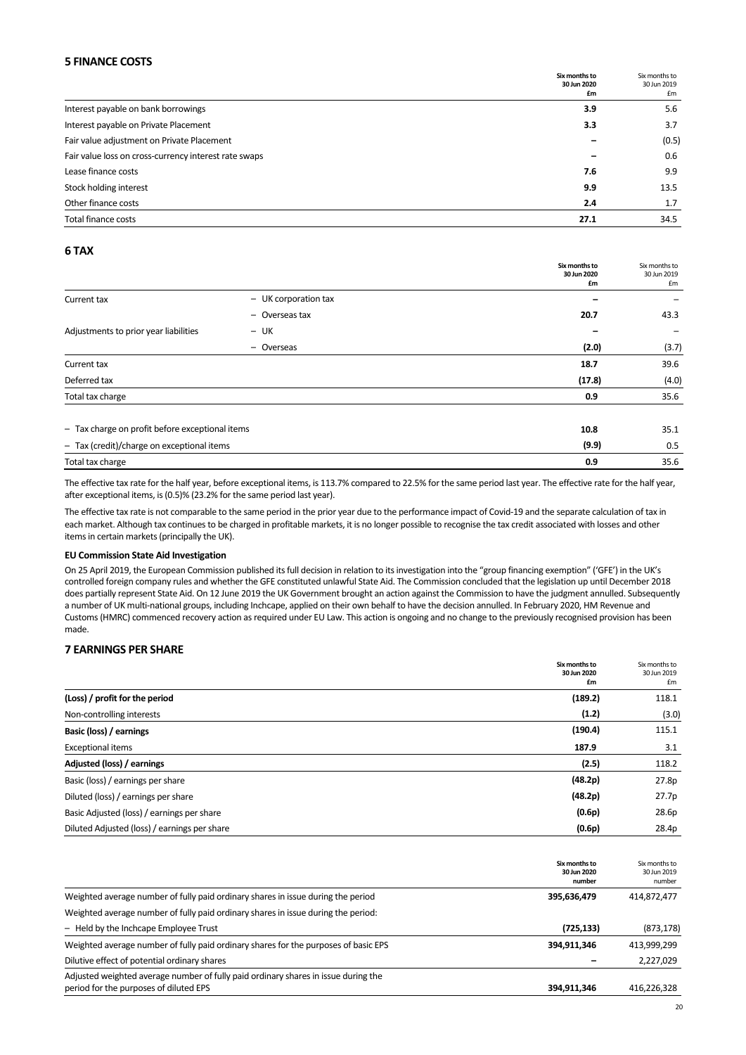## **5 FINANCE COSTS**

|                                                       | Six months to<br>30 Jun 2020<br>£m | Six months to<br>30 Jun 2019<br>£m |
|-------------------------------------------------------|------------------------------------|------------------------------------|
| Interest payable on bank borrowings                   | 3.9                                | 5.6                                |
| Interest payable on Private Placement                 | 3.3                                | 3.7                                |
| Fair value adjustment on Private Placement            |                                    | (0.5)                              |
| Fair value loss on cross-currency interest rate swaps |                                    | 0.6                                |
| Lease finance costs                                   | 7.6                                | 9.9                                |
| Stock holding interest                                | 9.9                                | 13.5                               |
| Other finance costs                                   | 2.4                                | 1.7                                |
| Total finance costs                                   | 27.1                               | 34.5                               |

## **6 TAX**

|                                                 |                      | Six months to<br>30 Jun 2020 | Six months to<br>30 Jun 2019 |
|-------------------------------------------------|----------------------|------------------------------|------------------------------|
|                                                 |                      | £m                           | £m                           |
| Current tax                                     | - UK corporation tax |                              |                              |
|                                                 | - Overseas tax       | 20.7                         | 43.3                         |
| Adjustments to prior year liabilities           | $-$ UK               |                              |                              |
|                                                 | - Overseas           | (2.0)                        | (3.7)                        |
| Current tax                                     |                      | 18.7                         | 39.6                         |
| Deferred tax                                    |                      | (17.8)                       | (4.0)                        |
| Total tax charge                                |                      | 0.9                          | 35.6                         |
| - Tax charge on profit before exceptional items |                      | 10.8                         | 35.1                         |
| - Tax (credit)/charge on exceptional items      |                      | (9.9)                        | 0.5                          |
| Total tax charge                                |                      | 0.9                          | 35.6                         |

The effective tax rate for the half year, before exceptional items, is 113.7% compared to 22.5% for the same period last year. The effective rate for the half year, after exceptional items, is (0.5)% (23.2% for the same period last year).

The effective tax rate is not comparable to the same period in the prior year due to the performance impact of Covid-19 and the separate calculation of tax in each market. Although tax continues to be charged in profitable markets, it is no longer possible to recognise the tax credit associated with losses and other items in certain markets (principally the UK).

#### **EU Commission State Aid Investigation**

On 25 April 2019, the European Commission published its full decision in relation to its investigation into the "group financing exemption" ('GFE') in the UK's controlled foreign company rules and whether the GFE constituted unlawful State Aid. The Commission concluded that the legislation up until December 2018 does partially represent State Aid. On 12 June 2019 the UK Government brought an action against the Commission to have the judgment annulled. Subsequently a number of UK multi-national groups, including Inchcape, applied on their own behalf to have the decision annulled. In February 2020, HM Revenue and Customs (HMRC) commenced recovery action as required under EU Law. This action is ongoing and no change to the previously recognised provision has been made.

## **7 EARNINGS PER SHARE**

| Six months to<br>30 Jun 2020<br>£m                     | Six months to<br>30 Jun 2019<br>£m |
|--------------------------------------------------------|------------------------------------|
| (189.2)<br>(Loss) / profit for the period              | 118.1                              |
| (1.2)<br>Non-controlling interests                     | (3.0)                              |
| (190.4)<br>Basic (loss) / earnings                     | 115.1                              |
| 187.9<br><b>Exceptional items</b>                      | 3.1                                |
| (2.5)<br>Adjusted (loss) / earnings                    | 118.2                              |
| (48.2p)<br>Basic (loss) / earnings per share           | 27.8p                              |
| (48.2p)<br>Diluted (loss) / earnings per share         | 27.7p                              |
| (0.6p)<br>Basic Adjusted (loss) / earnings per share   | 28.6p                              |
| (0.6p)<br>Diluted Adjusted (loss) / earnings per share | 28.4p                              |

|                                                                                                                              | Six months to<br>30 Jun 2020<br>number | Six months to<br>30 Jun 2019<br>number |
|------------------------------------------------------------------------------------------------------------------------------|----------------------------------------|----------------------------------------|
| Weighted average number of fully paid ordinary shares in issue during the period                                             | 395,636,479                            | 414,872,477                            |
| Weighted average number of fully paid ordinary shares in issue during the period:                                            |                                        |                                        |
| - Held by the Inchcape Employee Trust                                                                                        | (725, 133)                             | (873, 178)                             |
| Weighted average number of fully paid ordinary shares for the purposes of basic EPS                                          | 394,911,346                            | 413,999,299                            |
| Dilutive effect of potential ordinary shares                                                                                 |                                        | 2,227,029                              |
| Adjusted weighted average number of fully paid ordinary shares in issue during the<br>period for the purposes of diluted EPS | 394,911,346                            | 416,226,328                            |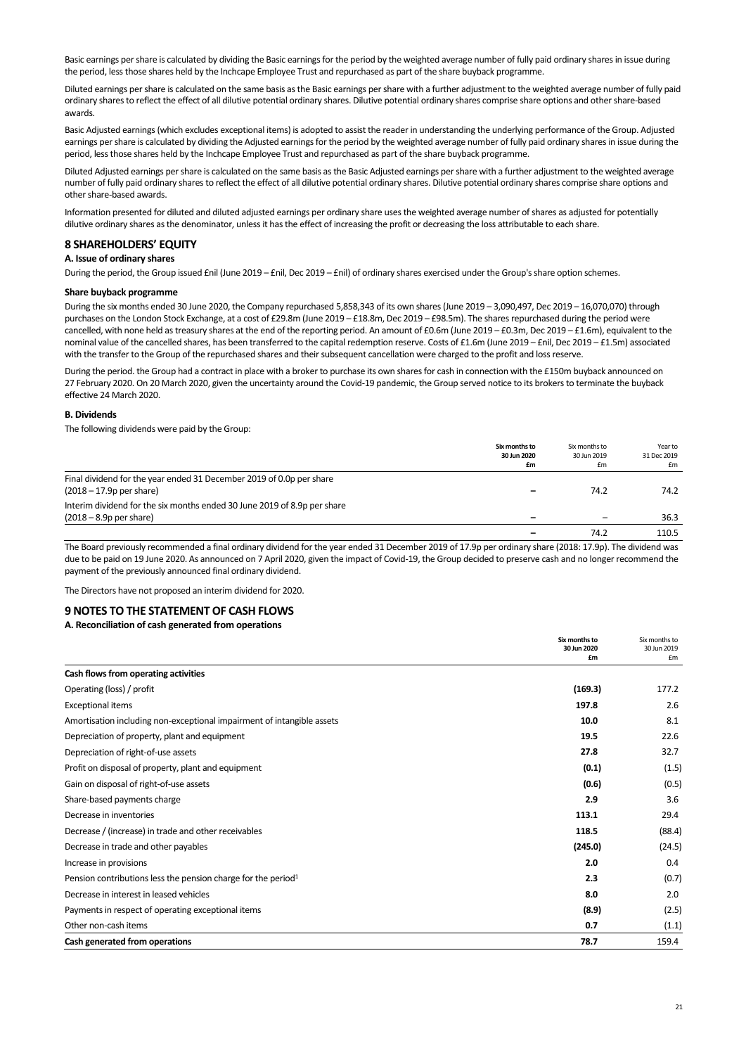Basic earnings per share is calculated by dividing the Basic earnings for the period by the weighted average number of fully paid ordinary shares in issue during the period, less those shares held by the Inchcape Employee Trust and repurchased as part of the share buyback programme.

Diluted earnings per share is calculated on the same basis as the Basic earnings per share with a further adjustment to the weighted average number of fully paid ordinary shares to reflect the effect of all dilutive potential ordinary shares. Dilutive potential ordinary shares comprise share options and other share-based awards.

Basic Adjusted earnings (which excludes exceptional items) is adopted to assist the reader in understanding the underlying performance of the Group. Adjusted earnings per share is calculated by dividing the Adjusted earnings for the period by the weighted average number of fully paid ordinary shares in issue during the period, less those shares held by the Inchcape Employee Trust and repurchased as part of the share buyback programme.

Diluted Adjusted earnings per share is calculated on the same basis as the Basic Adjusted earnings per share with a further adjustment to the weighted average number of fully paid ordinary shares to reflect the effect of all dilutive potential ordinary shares. Dilutive potential ordinary shares comprise share options and other share-based awards.

Information presented for diluted and diluted adjusted earnings per ordinary share uses the weighted average number of shares as adjusted for potentially dilutive ordinary shares as the denominator, unless it has the effect of increasing the profit or decreasing the loss attributable to each share.

## **8 SHAREHOLDERS' EQUITY**

## **A. Issue of ordinary shares**

During the period, the Group issued £nil (June 2019 – £nil, Dec 2019 – £nil) of ordinary shares exercised under the Group's share option schemes.

#### **Share buyback programme**

During the six months ended 30 June 2020, the Company repurchased 5,858,343 of its own shares (June 2019 – 3,090,497, Dec 2019 – 16,070,070) through purchases on the London Stock Exchange, at a cost of £29.8m (June 2019 – £18.8m, Dec 2019 – £98.5m). The shares repurchased during the period were cancelled, with none held as treasury shares at the end of the reporting period. An amount of £0.6m (June 2019 - £0.3m, Dec 2019 - £1.6m), equivalent to the nominal value of the cancelled shares, has been transferred to the capital redemption reserve. Costs of £1.6m (June 2019 – £nil, Dec 2019 – £1.5m) associated with the transfer to the Group of the repurchased shares and their subsequent cancellation were charged to the profit and loss reserve.

During the period. the Group had a contract in place with a broker to purchase its own shares for cash in connection with the £150m buyback announced on 27 February 2020. On 20 March 2020, given the uncertainty around the Covid-19 pandemic, the Group served notice to its brokers to terminate the buyback effective 24 March 2020.

#### **B. Dividends**

The following dividends were paid by the Group:

|                                                                                                            | Six months to<br>30 Jun 2020<br>£m | Six months to<br>30 Jun 2019<br>£m | Year to<br>31 Dec 2019<br>£m |
|------------------------------------------------------------------------------------------------------------|------------------------------------|------------------------------------|------------------------------|
| Final dividend for the year ended 31 December 2019 of 0.0p per share<br>$(2018 - 17.9p \text{ per share})$ |                                    | 74.2                               | 74.2                         |
| Interim dividend for the six months ended 30 June 2019 of 8.9p per share<br>$(2018 - 8.9p$ per share)      | $\overline{\phantom{0}}$           |                                    | 36.3                         |
|                                                                                                            | -                                  | 74.2                               | 110.5                        |

The Board previously recommended a final ordinary dividend for the year ended 31 December 2019 of 17.9p per ordinary share (2018: 17.9p). The dividend was due to be paid on 19 June 2020. As announced on 7 April 2020, given the impact of Covid-19, the Group decided to preserve cash and no longer recommend the payment of the previously announced final ordinary dividend.

The Directors have not proposed an interim dividend for 2020.

#### **9 NOTES TO THE STATEMENT OF CASH FLOWS**

#### **A. Reconciliation of cash generated from operations**

|                                                                           | Six months to<br>30 Jun 2020 | Six months to<br>30 Jun 2019 |
|---------------------------------------------------------------------------|------------------------------|------------------------------|
|                                                                           | £m                           | £m                           |
| Cash flows from operating activities                                      |                              |                              |
| Operating (loss) / profit                                                 | (169.3)                      | 177.2                        |
| <b>Exceptional items</b>                                                  | 197.8                        | 2.6                          |
| Amortisation including non-exceptional impairment of intangible assets    | 10.0                         | 8.1                          |
| Depreciation of property, plant and equipment                             | 19.5                         | 22.6                         |
| Depreciation of right-of-use assets                                       | 27.8                         | 32.7                         |
| Profit on disposal of property, plant and equipment                       | (0.1)                        | (1.5)                        |
| Gain on disposal of right-of-use assets                                   | (0.6)                        | (0.5)                        |
| Share-based payments charge                                               | 2.9                          | 3.6                          |
| Decrease in inventories                                                   | 113.1                        | 29.4                         |
| Decrease / (increase) in trade and other receivables                      | 118.5                        | (88.4)                       |
| Decrease in trade and other payables                                      | (245.0)                      | (24.5)                       |
| Increase in provisions                                                    | 2.0                          | 0.4                          |
| Pension contributions less the pension charge for the period <sup>1</sup> | 2.3                          | (0.7)                        |
| Decrease in interest in leased vehicles                                   | 8.0                          | 2.0                          |
| Payments in respect of operating exceptional items                        | (8.9)                        | (2.5)                        |
| Other non-cash items                                                      | 0.7                          | (1.1)                        |
| Cash generated from operations                                            | 78.7                         | 159.4                        |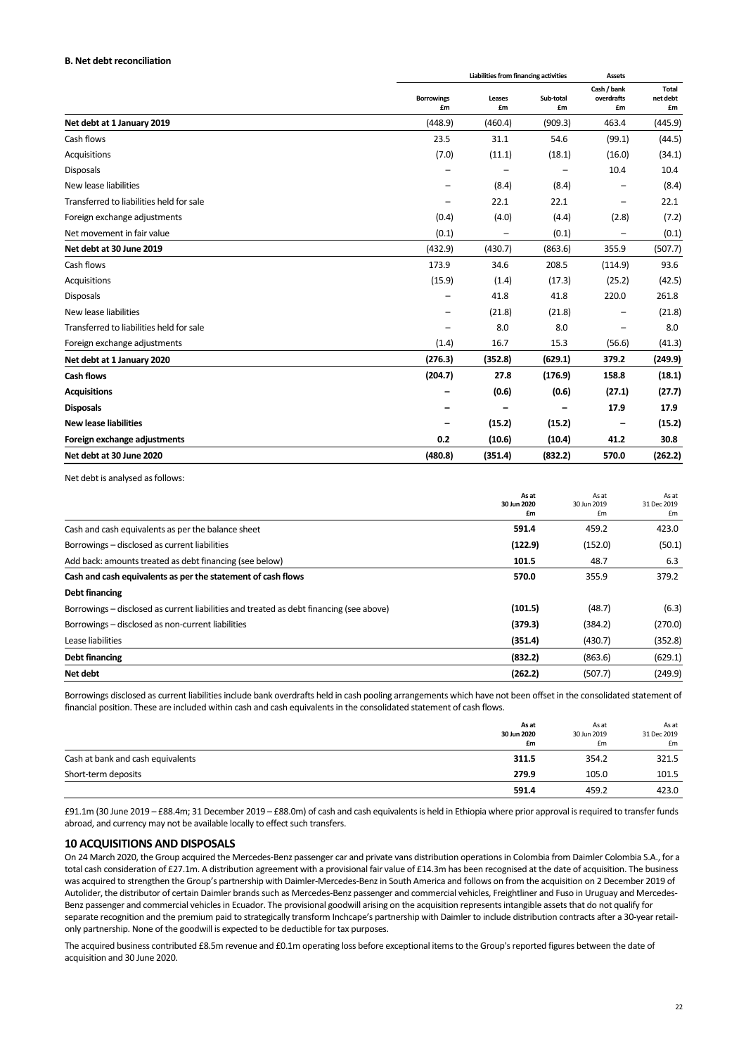#### **B. Net debt reconciliation**

|                                          |                         | Liabilities from financing activities |                 |                                 |                         |
|------------------------------------------|-------------------------|---------------------------------------|-----------------|---------------------------------|-------------------------|
|                                          | <b>Borrowings</b><br>£m | Leases<br>£m                          | Sub-total<br>£m | Cash / bank<br>overdrafts<br>£m | Total<br>net debt<br>£m |
| Net debt at 1 January 2019               | (448.9)                 | (460.4)                               | (909.3)         | 463.4                           | (445.9)                 |
| Cash flows                               | 23.5                    | 31.1                                  | 54.6            | (99.1)                          | (44.5)                  |
| Acquisitions                             | (7.0)                   | (11.1)                                | (18.1)          | (16.0)                          | (34.1)                  |
| <b>Disposals</b>                         |                         |                                       |                 | 10.4                            | 10.4                    |
| New lease liabilities                    |                         | (8.4)                                 | (8.4)           |                                 | (8.4)                   |
| Transferred to liabilities held for sale |                         | 22.1                                  | 22.1            |                                 | 22.1                    |
| Foreign exchange adjustments             | (0.4)                   | (4.0)                                 | (4.4)           | (2.8)                           | (7.2)                   |
| Net movement in fair value               | (0.1)                   |                                       | (0.1)           |                                 | (0.1)                   |
| Net debt at 30 June 2019                 | (432.9)                 | (430.7)                               | (863.6)         | 355.9                           | (507.7)                 |
| Cash flows                               | 173.9                   | 34.6                                  | 208.5           | (114.9)                         | 93.6                    |
| <b>Acquisitions</b>                      | (15.9)                  | (1.4)                                 | (17.3)          | (25.2)                          | (42.5)                  |
| <b>Disposals</b>                         |                         | 41.8                                  | 41.8            | 220.0                           | 261.8                   |
| New lease liabilities                    |                         | (21.8)                                | (21.8)          | $\qquad \qquad -$               | (21.8)                  |
| Transferred to liabilities held for sale |                         | 8.0                                   | 8.0             |                                 | 8.0                     |
| Foreign exchange adjustments             | (1.4)                   | 16.7                                  | 15.3            | (56.6)                          | (41.3)                  |
| Net debt at 1 January 2020               | (276.3)                 | (352.8)                               | (629.1)         | 379.2                           | (249.9)                 |
| <b>Cash flows</b>                        | (204.7)                 | 27.8                                  | (176.9)         | 158.8                           | (18.1)                  |
| <b>Acquisitions</b>                      |                         | (0.6)                                 | (0.6)           | (27.1)                          | (27.7)                  |
| <b>Disposals</b>                         | -                       |                                       |                 | 17.9                            | 17.9                    |
| <b>New lease liabilities</b>             |                         | (15.2)                                | (15.2)          | -                               | (15.2)                  |
| Foreign exchange adjustments             | 0.2                     | (10.6)                                | (10.4)          | 41.2                            | 30.8                    |
| Net debt at 30 June 2020                 | (480.8)                 | (351.4)                               | (832.2)         | 570.0                           | (262.2)                 |

Net debt is analysed as follows:

|                                                                                         | As at<br>30 Jun 2020<br>£m | As at<br>30 Jun 2019<br>£m | As at<br>31 Dec 2019<br>£m |
|-----------------------------------------------------------------------------------------|----------------------------|----------------------------|----------------------------|
| Cash and cash equivalents as per the balance sheet                                      | 591.4                      | 459.2                      | 423.0                      |
| Borrowings - disclosed as current liabilities                                           | (122.9)                    | (152.0)                    | (50.1)                     |
| Add back: amounts treated as debt financing (see below)                                 | 101.5                      | 48.7                       | 6.3                        |
| Cash and cash equivalents as per the statement of cash flows                            | 570.0                      | 355.9                      | 379.2                      |
| <b>Debt financing</b>                                                                   |                            |                            |                            |
| Borrowings – disclosed as current liabilities and treated as debt financing (see above) | (101.5)                    | (48.7)                     | (6.3)                      |
| Borrowings - disclosed as non-current liabilities                                       | (379.3)                    | (384.2)                    | (270.0)                    |
| Lease liabilities                                                                       | (351.4)                    | (430.7)                    | (352.8)                    |
| Debt financing                                                                          | (832.2)                    | (863.6)                    | (629.1)                    |
| Net debt                                                                                | (262.2)                    | (507.7)                    | (249.9)                    |

Borrowings disclosed as current liabilities include bank overdrafts held in cash pooling arrangements which have not been offset in the consolidated statement of financial position. These are included within cash and cash equivalents in the consolidated statement of cash flows.

|                                   | As at<br>30 Jun 2020<br>£m | As at<br>30 Jun 2019<br>£m | As at<br>31 Dec 2019<br>£m |
|-----------------------------------|----------------------------|----------------------------|----------------------------|
| Cash at bank and cash equivalents | 311.5                      | 354.2                      | 321.5                      |
| Short-term deposits               | 279.9                      | 105.0                      | 101.5                      |
|                                   | 591.4                      | 459.2                      | 423.0                      |

£91.1m (30 June 2019 – £88.4m; 31 December 2019 – £88.0m) of cash and cash equivalents is held in Ethiopia where prior approval is required to transfer funds abroad, and currency may not be available locally to effect such transfers.

## **10 ACQUISITIONS AND DISPOSALS**

On 24 March 2020, the Group acquired the Mercedes-Benz passenger car and private vans distribution operations in Colombia from Daimler Colombia S.A., for a total cash consideration of £27.1m. A distribution agreement with a provisional fair value of £14.3m has been recognised at the date of acquisition. The business was acquired to strengthen the Group's partnership with Daimler-Mercedes-Benz in South America and follows on from the acquisition on 2 December 2019 of Autolider, the distributor of certain Daimler brands such as Mercedes-Benz passenger and commercial vehicles, Freightliner and Fuso in Uruguay and Mercedes-Benz passenger and commercial vehicles in Ecuador. The provisional goodwill arising on the acquisition represents intangible assets that do not qualify for separate recognition and the premium paid to strategically transform Inchcape's partnership with Daimler to include distribution contracts after a 30-year retailonly partnership. None of the goodwill is expected to be deductible for tax purposes.

The acquired business contributed £8.5m revenue and £0.1m operating loss before exceptional items to the Group's reported figures between the date of acquisition and 30 June 2020.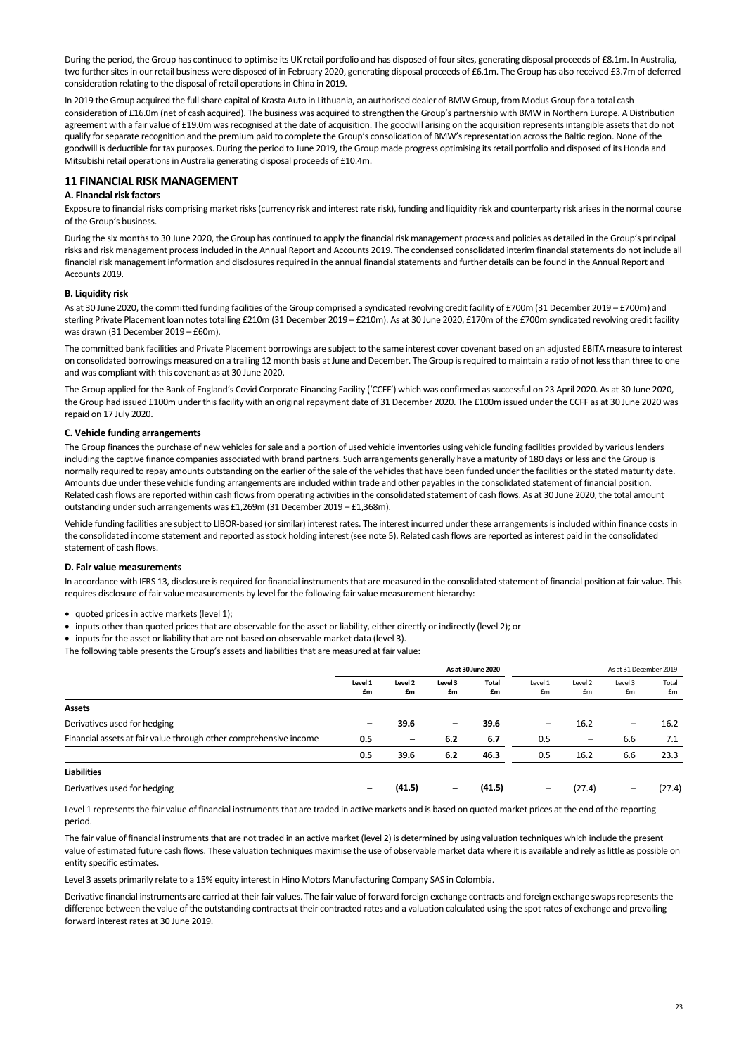During the period, the Group has continued to optimise its UK retail portfolio and has disposed of four sites, generating disposal proceeds of £8.1m. In Australia, two further sites in our retail business were disposed of in February 2020, generating disposal proceeds of £6.1m. The Group has also received £3.7m of deferred consideration relating to the disposal of retail operations in China in 2019.

In 2019 the Group acquired the full share capital of Krasta Auto in Lithuania, an authorised dealer of BMW Group, from Modus Group for a total cash consideration of £16.0m (net of cash acquired). The business was acquired to strengthen the Group's partnership with BMW in Northern Europe. A Distribution agreement with a fair value of £19.0m was recognised at the date of acquisition. The goodwill arising on the acquisition represents intangible assets that do not qualify for separate recognition and the premium paid to complete the Group's consolidation of BMW's representation across the Baltic region. None of the goodwill is deductible for tax purposes. During the period to June 2019, the Group made progress optimising its retail portfolio and disposed of its Honda and Mitsubishi retail operations in Australia generating disposal proceeds of £10.4m.

## **11 FINANCIAL RISK MANAGEMENT**

#### **A. Financial risk factors**

Exposure to financial risks comprising market risks (currency risk and interest rate risk), funding and liquidity risk and counterparty risk arises in the normal course of the Group's business.

During the six months to 30 June 2020, the Group has continued to apply the financial risk management process and policies as detailed in the Group's principal risks and risk management process included in the Annual Report and Accounts 2019. The condensed consolidated interim financial statements do not include all financial risk management information and disclosures required in the annual financial statements and further details can be found in the Annual Report and Accounts 2019.

#### **B. Liquidity risk**

As at 30 June 2020, the committed funding facilities of the Group comprised a syndicated revolving credit facility of £700m (31 December 2019 – £700m) and sterling Private Placement Ioan notes totalling £210m (31 December 2019 – £210m). As at 30 June 2020, £170m of the £700m syndicated revolving credit facility was drawn (31 December 2019 – £60m).

The committed bank facilities and Private Placement borrowings are subject to the same interest cover covenant based on an adjusted EBITA measure to interest on consolidated borrowings measured on a trailing 12 month basis at June and December. The Group is required to maintain a ratio of not less than three to one and was compliant with this covenant as at 30 June 2020.

The Group applied for the Bank of England's Covid Corporate Financing Facility ('CCFF') which was confirmed as successful on 23 April 2020. As at 30 June 2020, the Group had issued £100m under this facility with an original repayment date of 31 December 2020. The £100m issued under the CCFF as at 30 June 2020 was repaid on 17 July 2020.

#### **C. Vehicle funding arrangements**

The Group finances the purchase of new vehicles for sale and a portion of used vehicle inventories using vehicle funding facilities provided by various lenders including the captive finance companies associated with brand partners. Such arrangements generally have a maturity of 180 days or less and the Group is normally required to repay amounts outstanding on the earlier of the sale of the vehicles that have been funded under the facilities or the stated maturity date. Amounts due under these vehicle funding arrangements are included within trade and other payables in the consolidated statement of financial position. Related cash flows are reported within cash flows from operating activities in the consolidated statement of cash flows. As at 30 June 2020, the total amount outstanding under such arrangements was £1,269m (31 December 2019 – £1,368m).

Vehicle funding facilities are subject to LIBOR-based (or similar) interest rates. The interest incurred under these arrangements is included within finance costs in the consolidated income statement and reported as stock holding interest (see note 5). Related cash flows are reported as interest paid in the consolidated statement of cash flows.

#### **D. Fair value measurements**

In accordance with IFRS 13, disclosure is required for financial instruments that are measured in the consolidated statement of financial position at fair value. This requires disclosure of fair value measurements by level for the following fair value measurement hierarchy:

• quoted prices in active markets (level 1);

• inputs other than quoted prices that are observable for the asset or liability, either directly or indirectly (level 2); or

• inputs for the asset or liability that are not based on observable market data (level 3).

The following table presents the Group's assets and liabilities that are measured at fair value:

|                                                                   | As at 30 June 2020 |                              |                          | As at 31 December 2019 |                          |                   |               |             |
|-------------------------------------------------------------------|--------------------|------------------------------|--------------------------|------------------------|--------------------------|-------------------|---------------|-------------|
|                                                                   | Level 1<br>£m      | Level 2<br>£m                | Level 3<br>£m            | <b>Total</b><br>£m     | Level 1<br>£m            | Level 2<br>£m     | Level 3<br>£m | Total<br>£m |
| Assets                                                            |                    |                              |                          |                        |                          |                   |               |             |
| Derivatives used for hedging                                      | -                  | 39.6                         | $\overline{\phantom{0}}$ | 39.6                   | $\overline{\phantom{m}}$ | 16.2              |               | 16.2        |
| Financial assets at fair value through other comprehensive income | 0.5                | $\qquad \qquad \blacksquare$ | 6.2                      | 6.7                    | 0.5                      | $\qquad \qquad -$ | 6.6           | 7.1         |
|                                                                   | 0.5                | 39.6                         | 6.2                      | 46.3                   | 0.5                      | 16.2              | 6.6           | 23.3        |
| <b>Liabilities</b>                                                |                    |                              |                          |                        |                          |                   |               |             |
| Derivatives used for hedging                                      |                    | (41.5)                       | $\overline{\phantom{0}}$ | (41.5)                 | $\overline{\phantom{m}}$ | (27.4)            |               | (27.4)      |

Level 1 represents the fair value of financial instruments that are traded in active markets and is based on quoted market prices at the end of the reporting period.

The fair value of financial instruments that are not traded in an active market (level 2) is determined by using valuation techniques which include the present value of estimated future cash flows. These valuation techniques maximise the use of observable market data where it is available and rely as little as possible on entity specific estimates.

Level 3 assets primarily relate to a 15% equity interest in Hino Motors Manufacturing Company SAS in Colombia.

Derivative financial instruments are carried at their fair values. The fair value of forward foreign exchange contracts and foreign exchange swaps represents the difference between the value of the outstanding contracts at their contracted rates and a valuation calculated using the spot rates of exchange and prevailing forward interest rates at 30 June 2019.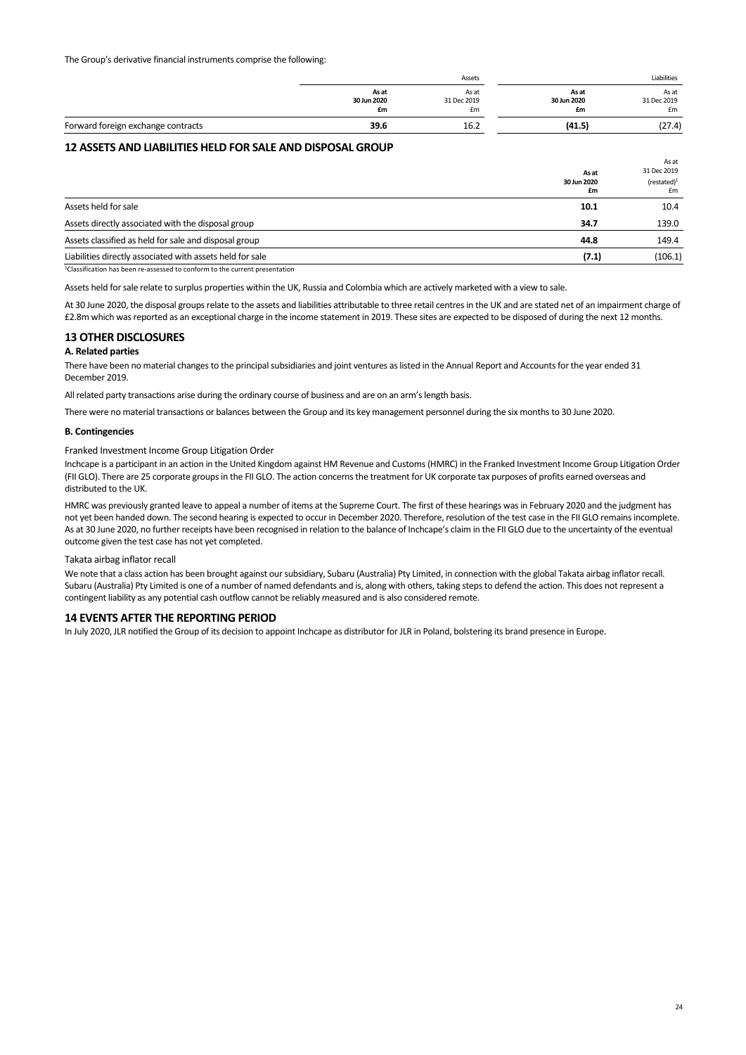|                                    |             | Assets      |             | Liabilities |
|------------------------------------|-------------|-------------|-------------|-------------|
|                                    | As at       | As at       | As at       | As at       |
|                                    | 30 Jun 2020 | 31 Dec 2019 | 30 Jun 2020 | 31 Dec 2019 |
|                                    | £m          | £m          | £m          | £m          |
| Forward foreign exchange contracts | 39.6        | 16.2        | (41.5)      | (27.4)      |

## **12 ASSETS AND LIABILITIES HELD FOR SALE AND DISPOSAL GROUP**

|                                                                                                                                                                                                                                    | As at<br>30 Jun 2020<br>£m | 31 Dec 2019<br>(rested) <sup>1</sup><br>£m |
|------------------------------------------------------------------------------------------------------------------------------------------------------------------------------------------------------------------------------------|----------------------------|--------------------------------------------|
| Assets held for sale                                                                                                                                                                                                               | 10.1                       | 10.4                                       |
| Assets directly associated with the disposal group                                                                                                                                                                                 | 34.7                       | 139.0                                      |
| Assets classified as held for sale and disposal group                                                                                                                                                                              | 44.8                       | 149.4                                      |
| Liabilities directly associated with assets held for sale                                                                                                                                                                          | (7.1)                      | (106.1)                                    |
| the contract of the contract of the contract of the contract of the contract of the contract of the contract of<br>the contract of the contract of the contract of the contract of the contract of the contract of the contract of |                            |                                            |

<sup>1</sup>Classification has been re-assessed to conform to the current presentation

Assets held for sale relate to surplus properties within the UK, Russia and Colombia which are actively marketed with a view to sale.

At 30 June 2020, the disposal groups relate to the assets and liabilities attributable to three retail centres in the UK and are stated net of an impairment charge of £2.8m which was reported as an exceptional charge in the income statement in 2019. These sites are expected to be disposed of during the next 12 months.

#### **13 OTHER DISCLOSURES**

## **A. Related parties**

There have been no material changes to the principal subsidiaries and joint ventures as listed in the Annual Report and Accounts for the year ended 31 December 2019.

All related party transactions arise during the ordinary course of business and are on an arm's length basis.

There were no material transactions or balances between the Group and its key management personnel during the six months to 30 June 2020.

#### **B. Contingencies**

#### Franked Investment Income Group Litigation Order

Inchcape is a participant in an action in the United Kingdom against HM Revenue and Customs (HMRC) in the Franked Investment Income Group Litigation Order (FII GLO). There are 25 corporate groups in the FII GLO. The action concerns the treatment for UK corporate tax purposes of profits earned overseas and distributed to the UK.

HMRC was previously granted leave to appeal a number of items at the Supreme Court. The first of these hearings was in February 2020 and the judgment has not yet been handed down. The second hearing is expected to occur in December 2020. Therefore, resolution of the test case in the FII GLO remains incomplete. As at 30 June 2020, no further receipts have been recognised in relation to the balance of Inchcape's claim in the FII GLO due to the uncertainty of the eventual outcome given the test case has not yet completed.

#### Takata airbag inflator recall

We note that a class action has been brought against our subsidiary, Subaru (Australia) Pty Limited, in connection with the global Takata airbag inflator recall. Subaru (Australia) Pty Limited is one of a number of named defendants and is, along with others, taking steps to defend the action. This does not represent a contingent liability as any potential cash outflow cannot be reliably measured and is also considered remote.

#### **14 EVENTS AFTER THE REPORTING PERIOD**

In July 2020, JLR notified the Group of its decision to appoint Inchcape as distributor for JLR in Poland, bolstering its brand presence in Europe.

As at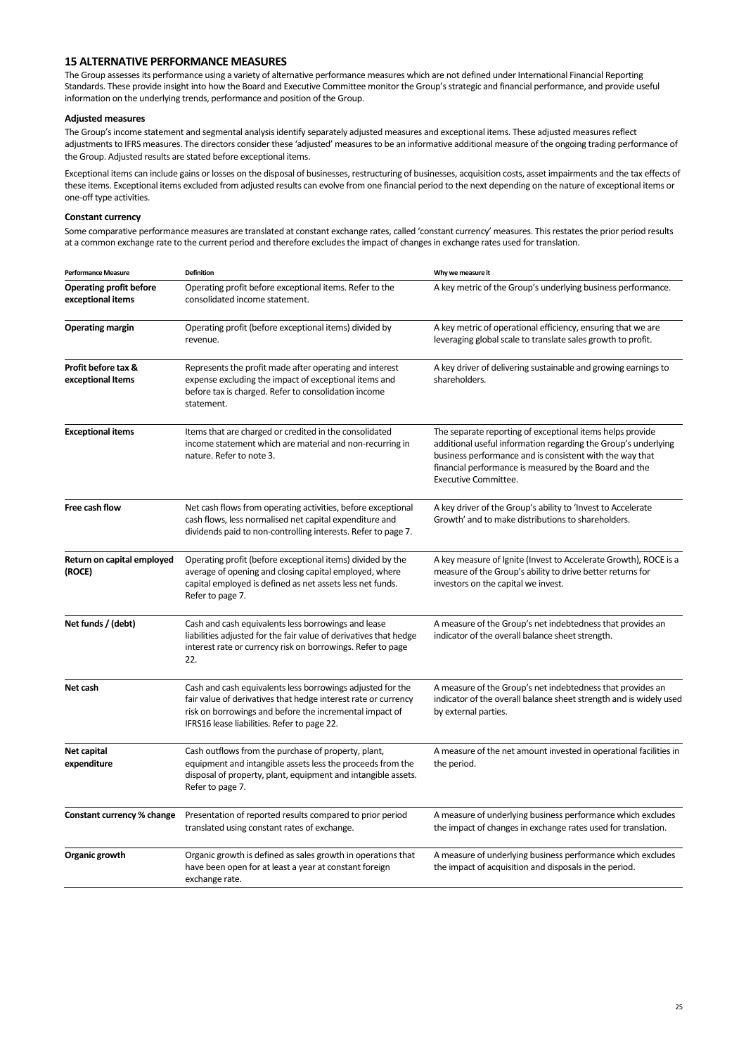## **15 ALTERNATIVE PERFORMANCE MEASURES**

The Group assesses its performance using a variety of alternative performance measures which are not defined under International Financial Reporting Standards. These provide insight into how the Board and Executive Committee monitor the Group's strategic and financial performance, and provide useful information on the underlying trends, performance and position of the Group.

#### **Adjusted measures**

The Group's income statement and segmental analysis identify separately adjusted measures and exceptional items. These adjusted measures reflect adjustments to IFRS measures. The directors consider these 'adjusted' measures to be an informative additional measure of the ongoing trading performance of the Group. Adjusted results are stated before exceptional items.

Exceptional items can include gains or losses on the disposal of businesses, restructuring of businesses, acquisition costs, asset impairments and the tax effects of these items. Exceptional items excluded from adjusted results can evolve from one financial period to the next depending on the nature of exceptional items or one-off type activities.

#### **Constant currency**

Some comparative performance measures are translated at constant exchange rates, called 'constant currency' measures. This restates the prior period results at a common exchange rate to the current period and therefore excludes the impact of changesin exchange rates used for translation.

| <b>Performance Measure</b>                          | Definition                                                                                                                                                                                                                             | Why we measure it                                                                                                                                                                                                                                                                |
|-----------------------------------------------------|----------------------------------------------------------------------------------------------------------------------------------------------------------------------------------------------------------------------------------------|----------------------------------------------------------------------------------------------------------------------------------------------------------------------------------------------------------------------------------------------------------------------------------|
| <b>Operating profit before</b><br>exceptional items | Operating profit before exceptional items. Refer to the<br>consolidated income statement.                                                                                                                                              | A key metric of the Group's underlying business performance.                                                                                                                                                                                                                     |
| <b>Operating margin</b>                             | Operating profit (before exceptional items) divided by<br>revenue.                                                                                                                                                                     | A key metric of operational efficiency, ensuring that we are<br>leveraging global scale to translate sales growth to profit.                                                                                                                                                     |
| Profit before tax &<br>exceptional Items            | Represents the profit made after operating and interest<br>expense excluding the impact of exceptional items and<br>before tax is charged. Refer to consolidation income<br>statement.                                                 | A key driver of delivering sustainable and growing earnings to<br>shareholders.                                                                                                                                                                                                  |
| <b>Exceptional items</b>                            | Items that are charged or credited in the consolidated<br>income statement which are material and non-recurring in<br>nature. Refer to note 3.                                                                                         | The separate reporting of exceptional items helps provide<br>additional useful information regarding the Group's underlying<br>business performance and is consistent with the way that<br>financial performance is measured by the Board and the<br><b>Executive Committee.</b> |
| Free cash flow                                      | Net cash flows from operating activities, before exceptional<br>cash flows, less normalised net capital expenditure and<br>dividends paid to non-controlling interests. Refer to page 7.                                               | A key driver of the Group's ability to 'Invest to Accelerate<br>Growth' and to make distributions to shareholders.                                                                                                                                                               |
| Return on capital employed<br>(ROCE)                | Operating profit (before exceptional items) divided by the<br>average of opening and closing capital employed, where<br>capital employed is defined as net assets less net funds.<br>Refer to page 7.                                  | A key measure of Ignite (Invest to Accelerate Growth), ROCE is a<br>measure of the Group's ability to drive better returns for<br>investors on the capital we invest.                                                                                                            |
| Net funds / (debt)                                  | Cash and cash equivalents less borrowings and lease<br>liabilities adjusted for the fair value of derivatives that hedge<br>interest rate or currency risk on borrowings. Refer to page<br>22.                                         | A measure of the Group's net indebtedness that provides an<br>indicator of the overall balance sheet strength.                                                                                                                                                                   |
| Net cash                                            | Cash and cash equivalents less borrowings adjusted for the<br>fair value of derivatives that hedge interest rate or currency<br>risk on borrowings and before the incremental impact of<br>IFRS16 lease liabilities. Refer to page 22. | A measure of the Group's net indebtedness that provides an<br>indicator of the overall balance sheet strength and is widely used<br>by external parties.                                                                                                                         |
| Net capital<br>expenditure                          | Cash outflows from the purchase of property, plant,<br>equipment and intangible assets less the proceeds from the<br>disposal of property, plant, equipment and intangible assets.<br>Refer to page 7.                                 | A measure of the net amount invested in operational facilities in<br>the period.                                                                                                                                                                                                 |
| Constant currency % change                          | Presentation of reported results compared to prior period<br>translated using constant rates of exchange.                                                                                                                              | A measure of underlying business performance which excludes<br>the impact of changes in exchange rates used for translation.                                                                                                                                                     |
| Organic growth                                      | Organic growth is defined as sales growth in operations that<br>have been open for at least a year at constant foreign<br>exchange rate.                                                                                               | A measure of underlying business performance which excludes<br>the impact of acquisition and disposals in the period.                                                                                                                                                            |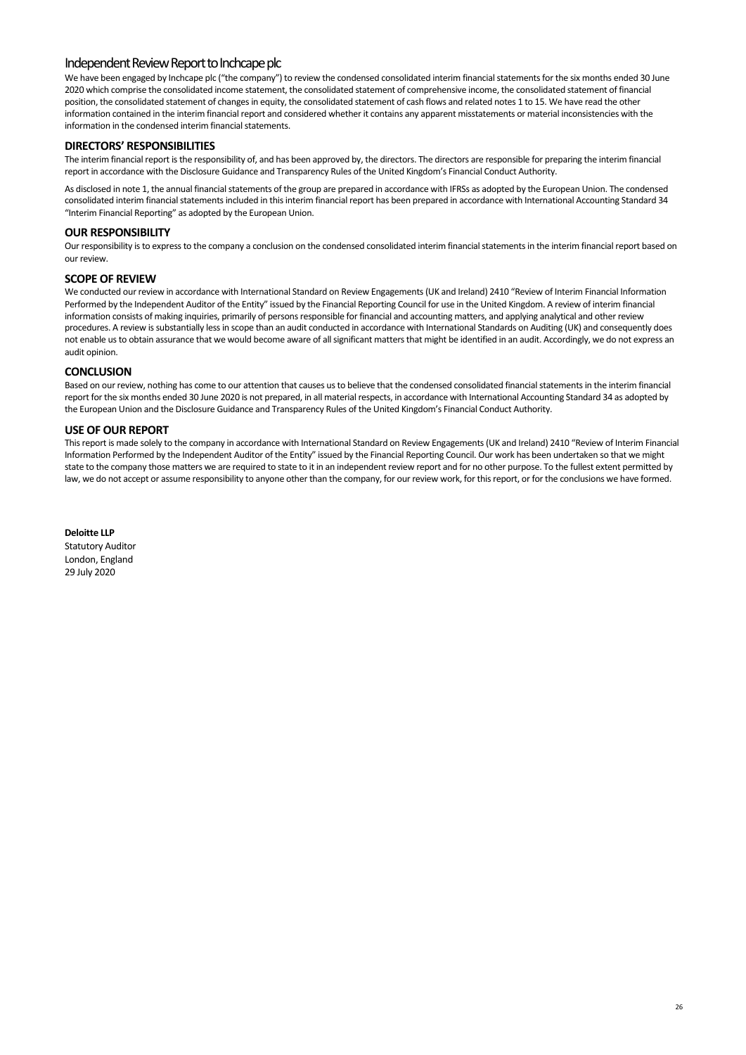## Independent Review Report to Inchcape plc

We have been engaged by Inchcape plc ("the company") to review the condensed consolidated interim financial statements for the six months ended 30 June 2020 which comprise the consolidated income statement, the consolidated statement of comprehensive income, the consolidated statement of financial position, the consolidated statement of changes in equity, the consolidated statement of cash flows and related notes 1 to 15. We have read the other information contained in the interim financial report and considered whether it contains any apparent misstatements or material inconsistencies with the information in the condensed interim financial statements.

#### **DIRECTORS' RESPONSIBILITIES**

The interim financial report is the responsibility of, and has been approved by, the directors. The directors are responsible for preparing the interim financial report in accordance with the Disclosure Guidance and Transparency Rules of the United Kingdom's Financial Conduct Authority.

As disclosed in note 1, the annual financial statements of the group are prepared in accordance with IFRSs as adopted by the European Union. The condensed consolidated interim financial statements included in this interim financial report has been prepared in accordance with International Accounting Standard 34 "Interim Financial Reporting" as adopted by the European Union.

#### **OUR RESPONSIBILITY**

Our responsibility is to express to the company a conclusion on the condensed consolidated interim financial statements in the interim financial report based on our review.

## **SCOPE OF REVIEW**

We conducted our review in accordance with International Standard on Review Engagements (UK and Ireland) 2410 "Review of Interim Financial Information Performed by the Independent Auditor of the Entity" issued by the Financial Reporting Council for use in the United Kingdom. A review of interim financial information consists of making inquiries, primarily of persons responsible for financial and accounting matters, and applying analytical and other review procedures. A review is substantially less in scope than an audit conducted in accordance with International Standards on Auditing (UK) and consequently does not enable us to obtain assurance that we would become aware of all significant matters that might be identified in an audit. Accordingly, we do not express an audit opinion.

#### **CONCLUSION**

Based on our review, nothing has come to our attention that causes us to believe that the condensed consolidated financial statements in the interim financial report for the six months ended 30 June 2020 is not prepared, in all material respects, in accordance with International Accounting Standard 34 as adopted by the European Union and the Disclosure Guidance and Transparency Rules of the United Kingdom's Financial Conduct Authority.

#### **USE OF OUR REPORT**

This report is made solely to the company in accordance with International Standard on Review Engagements (UK and Ireland) 2410 "Review of Interim Financial Information Performed by the Independent Auditor of the Entity" issued by the Financial Reporting Council. Our work has been undertaken so that we might state to the company those matters we are required to state to it in an independent review report and for no other purpose. To the fullest extent permitted by law, we do not accept or assume responsibility to anyone other than the company, for our review work, for this report, or for the conclusions we have formed.

**Deloitte LLP** Statutory Auditor London, England 29 July 2020